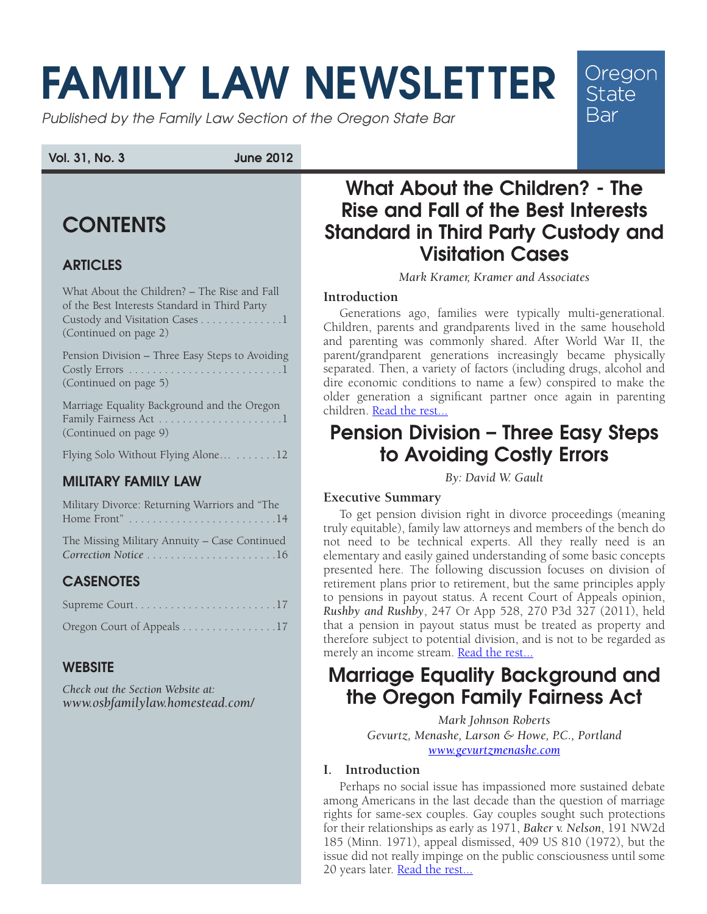# FAMILY LAW NEWSLETTER

Published by the Family Law Section of the Oregon State Bar

Vol. 31, No. 3 June 2012

# **CONTENTS**

## ARTICLES

What About the Children? – The Rise and Fall of the Best Interests Standard in Third Party Custody and Visitation Cases . . . . . . . . . . . . . 1 (Continued on page 2)

| Pension Division - Three Easy Steps to Avoiding |
|-------------------------------------------------|
|                                                 |
| (Continued on page 5)                           |

Marriage Equality Background and the Oregon Family Fairness Act [.](#page-4-0) 1 (Continued on page 9)

Flying Solo Without Flying Alone... . . . . . . . 12

## MILITARY FAMILY LAW

| Military Divorce: Returning Warriors and "The |
|-----------------------------------------------|
|                                               |
| The Missing Military Annuity - Case Continued |
| Correction Notice 16                          |

## **CASENOTES**

| Supreme Court17            |  |  |  |  |  |  |  |  |
|----------------------------|--|--|--|--|--|--|--|--|
| Oregon Court of Appeals 17 |  |  |  |  |  |  |  |  |

#### **WEBSITE**

*Check out the Section Website at: [www.osbfamilylaw.homestead.com/](http://www.osbfamilylaw.homestead.com)*

# What About the Children? - The Rise and Fall of the Best Interests Standard in Third Party Custody and Visitation Cases

Oregon **State Bar** 

*Mark Kramer, Kramer and Associates* 

#### **Introduction**

Generations ago, families were typically multi-generational. Children, parents and grandparents lived in the same household and parenting was commonly shared. After World War II, the parent/grandparent generations increasingly became physically separated. Then, a variety of factors (including drugs, alcohol and dire economic conditions to name a few) conspired to make the older generation a significant partner once again in parenting children. [Read the rest...](#page-1-0)

# Pension Division – Three Easy Steps to Avoiding Costly Errors

*By: David W. Gault*

#### **Executive Summary**

To get pension division right in divorce proceedings (meaning truly equitable), family law attorneys and members of the bench do not need to be technical experts. All they really need is an elementary and easily gained understanding of some basic concepts presented here. The following discussion focuses on division of retirement plans prior to retirement, but the same principles apply to pensions in payout status. A recent Court of Appeals opinion, *Rushby and Rushby*, 247 Or App 528, 270 P3d 327 (2011), held that a pension in payout status must be treated as property and therefore subject to potential division, and is not to be regarded as merely an income stream. [Read the rest...](#page-4-0)

# Marriage Equality Background and the Oregon Family Fairness Act

*Mark Johnson Roberts Gevurtz, Menashe, Larson & Howe, P.C., Portland <www.gevurtzmenashe.com>*

#### **I. Introduction**

Perhaps no social issue has impassioned more sustained debate among Americans in the last decade than the question of marriage rights for same-sex couples. Gay couples sought such protections for their relationships as early as 1971, *Baker v. Nelson*, 191 NW2d 185 (Minn. 1971), appeal dismissed, 409 US 810 (1972), but the issue did not really impinge on the public consciousness until some 20 years later. [Read the rest...](#page-8-0)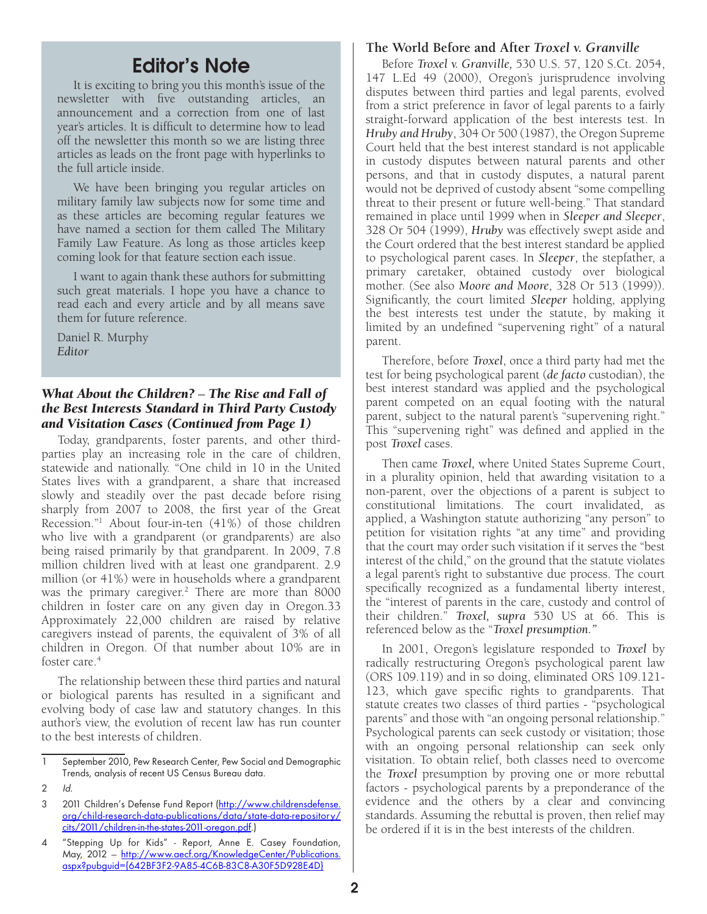# Editor's Note

<span id="page-1-0"></span>It is exciting to bring you this month's issue of the newsletter with five outstanding articles, an announcement and a correction from one of last year's articles. It is difficult to determine how to lead off the newsletter this month so we are listing three articles as leads on the front page with hyperlinks to the full article inside.

We have been bringing you regular articles on military family law subjects now for some time and as these articles are becoming regular features we have named a section for them called The Military Family Law Feature. As long as those articles keep coming look for that feature section each issue.

I want to again thank these authors for submitting such great materials. I hope you have a chance to read each and every article and by all means save them for future reference.

Daniel R. Murphy *Editor*

#### *What About the Children?* – *The Rise and Fall of the Best Interests Standard in Third Party Custody and Visitation Cases (Continued from Page 1)*

Today, grandparents, foster parents, and other thirdparties play an increasing role in the care of children, statewide and nationally. "One child in 10 in the United States lives with a grandparent, a share that increased slowly and steadily over the past decade before rising sharply from 2007 to 2008, the first year of the Great Recession."1 About four-in-ten (41%) of those children who live with a grandparent (or grandparents) are also being raised primarily by that grandparent. In 2009, 7.8 million children lived with at least one grandparent. 2.9 million (or 41%) were in households where a grandparent was the primary caregiver.<sup>2</sup> There are more than 8000 children in foster care on any given day in Oregon.33 Approximately 22,000 children are raised by relative caregivers instead of parents, the equivalent of 3% of all children in Oregon. Of that number about 10% are in foster care.<sup>4</sup>

The relationship between these third parties and natural or biological parents has resulted in a significant and evolving body of case law and statutory changes. In this author's view, the evolution of recent law has run counter to the best interests of children.

#### **The World Before and After** *Troxel v. Granville*

Before *Troxel v. Granville,* 530 U.S. 57, 120 S.Ct. 2054, 147 L.Ed 49 (2000), Oregon's jurisprudence involving disputes between third parties and legal parents, evolved from a strict preference in favor of legal parents to a fairly straight-forward application of the best interests test. In *Hruby and Hruby*, 304 Or 500 (1987), the Oregon Supreme Court held that the best interest standard is not applicable in custody disputes between natural parents and other persons, and that in custody disputes, a natural parent would not be deprived of custody absent "some compelling threat to their present or future well-being." That standard remained in place until 1999 when in *Sleeper and Sleeper*, 328 Or 504 (1999), *Hruby* was effectively swept aside and the Court ordered that the best interest standard be applied to psychological parent cases. In *Sleeper*, the stepfather, a primary caretaker, obtained custody over biological mother. (See also *Moore and Moore*, 328 Or 513 (1999)). Significantly, the court limited *Sleeper* holding, applying the best interests test under the statute, by making it limited by an undefined "supervening right" of a natural parent.

Therefore, before *Troxel*, once a third party had met the test for being psychological parent (*de facto* custodian), the best interest standard was applied and the psychological parent competed on an equal footing with the natural parent, subject to the natural parent's "supervening right." This "supervening right" was defined and applied in the post *Troxel* cases.

Then came *Troxel,* where United States Supreme Court, in a plurality opinion, held that awarding visitation to a non-parent, over the objections of a parent is subject to constitutional limitations. The court invalidated, as applied, a Washington statute authorizing "any person" to petition for visitation rights "at any time" and providing that the court may order such visitation if it serves the "best interest of the child," on the ground that the statute violates a legal parent's right to substantive due process. The court specifically recognized as a fundamental liberty interest, the "interest of parents in the care, custody and control of their children." *Troxel, supra* 530 US at 66. This is referenced below as the "*Troxel presumption."* 

In 2001, Oregon's legislature responded to *Troxel* by radically restructuring Oregon's psychological parent law (ORS 109.119) and in so doing, eliminated ORS 109.121- 123, which gave specific rights to grandparents. That statute creates two classes of third parties - "psychological parents" and those with "an ongoing personal relationship." Psychological parents can seek custody or visitation; those with an ongoing personal relationship can seek only visitation. To obtain relief, both classes need to overcome the *Troxel* presumption by proving one or more rebuttal factors - psychological parents by a preponderance of the evidence and the others by a clear and convincing standards. Assuming the rebuttal is proven, then relief may be ordered if it is in the best interests of the children.

<sup>1</sup> September 2010, Pew Research Center, Pew Social and Demographic Trends, analysis of recent US Census Bureau data.

<sup>2</sup> Id.

<sup>2011</sup> Children's Defense Fund Report [\(http://www.childrensdefense.](http://www.childrensdefense.org/child-research-data-publications/data/state-data-repository/cits/2011/children-in-the-states-2011-oregon.pdf) [org/child-research-data-publications/data/state-data-repository/](http://www.childrensdefense.org/child-research-data-publications/data/state-data-repository/cits/2011/children-in-the-states-2011-oregon.pdf) [cits/2011/children-in-the-states-2011-oregon.pdf.](http://www.childrensdefense.org/child-research-data-publications/data/state-data-repository/cits/2011/children-in-the-states-2011-oregon.pdf))

<sup>4</sup> "Stepping Up for Kids" - Report, Anne E. Casey Foundation, May, 2012 - [http://www.aecf.org/KnowledgeCenter/Publications.](http://www.aecf.org/KnowledgeCenter/Publications.aspx?pubguid={642BF3F2-9A85-4C6B-83C8-A30F5D928E4D}) [aspx?pubguid={642BF3F2-9A85-4C6B-83C8-A30F5D928E4D}](http://www.aecf.org/KnowledgeCenter/Publications.aspx?pubguid={642BF3F2-9A85-4C6B-83C8-A30F5D928E4D})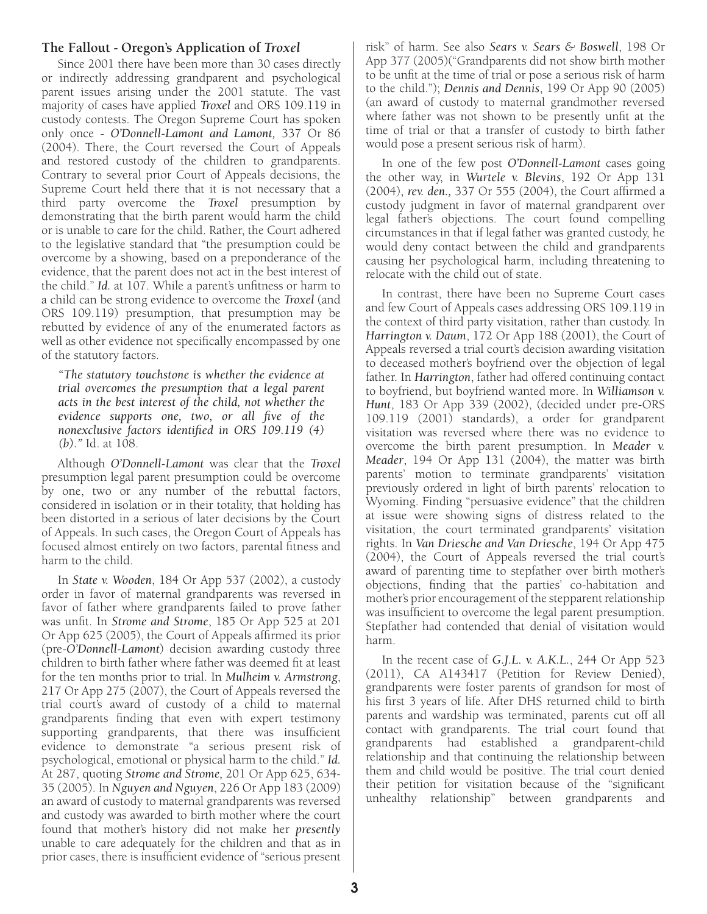#### **The Fallout - Oregon's Application of** *Troxel*

Since 2001 there have been more than 30 cases directly or indirectly addressing grandparent and psychological parent issues arising under the 2001 statute. The vast majority of cases have applied *Troxel* and ORS 109.119 in custody contests. The Oregon Supreme Court has spoken only once - *O'Donnell-Lamont and Lamont,* 337 Or 86 (2004). There, the Court reversed the Court of Appeals and restored custody of the children to grandparents. Contrary to several prior Court of Appeals decisions, the Supreme Court held there that it is not necessary that a third party overcome the *Troxel* presumption by demonstrating that the birth parent would harm the child or is unable to care for the child. Rather, the Court adhered to the legislative standard that "the presumption could be overcome by a showing, based on a preponderance of the evidence, that the parent does not act in the best interest of the child." *Id.* at 107. While a parent's unfitness or harm to a child can be strong evidence to overcome the *Troxel* (and ORS 109.119) presumption, that presumption may be rebutted by evidence of any of the enumerated factors as well as other evidence not specifically encompassed by one of the statutory factors.

*"The statutory touchstone is whether the evidence at trial overcomes the presumption that a legal parent acts in the best interest of the child, not whether the evidence supports one, two, or all five of the nonexclusive factors identified in ORS 109.119 (4) (b)."* Id. at 108.

Although *O'Donnell-Lamont* was clear that the *Troxel* presumption legal parent presumption could be overcome by one, two or any number of the rebuttal factors, considered in isolation or in their totality, that holding has been distorted in a serious of later decisions by the Court of Appeals. In such cases, the Oregon Court of Appeals has focused almost entirely on two factors, parental fitness and harm to the child.

In *State v. Wooden*, 184 Or App 537 (2002), a custody order in favor of maternal grandparents was reversed in favor of father where grandparents failed to prove father was unfit. In *Strome and Strome*, 185 Or App 525 at 201 Or App 625 (2005), the Court of Appeals affirmed its prior (pre-*O'Donnell-Lamont*) decision awarding custody three children to birth father where father was deemed fit at least for the ten months prior to trial. In *Mulheim v. Armstrong*, 217 Or App 275 (2007), the Court of Appeals reversed the trial court's award of custody of a child to maternal grandparents finding that even with expert testimony supporting grandparents, that there was insufficient evidence to demonstrate "a serious present risk of psychological, emotional or physical harm to the child." *Id.*  At 287, quoting *Strome and Strome,* 201 Or App 625, 634- 35 (2005). In *Nguyen and Nguyen*, 226 Or App 183 (2009) an award of custody to maternal grandparents was reversed and custody was awarded to birth mother where the court found that mother's history did not make her *presently* unable to care adequately for the children and that as in prior cases, there is insufficient evidence of "serious present

risk" of harm. See also *Sears v. Sears & Boswell*, 198 Or App 377 (2005)("Grandparents did not show birth mother to be unfit at the time of trial or pose a serious risk of harm to the child."); *Dennis and Dennis*, 199 Or App 90 (2005) (an award of custody to maternal grandmother reversed where father was not shown to be presently unfit at the time of trial or that a transfer of custody to birth father would pose a present serious risk of harm).

In one of the few post *O'Donnell-Lamont* cases going the other way, in *Wurtele v. Blevins*, 192 Or App 131 (2004), *rev. den.,* 337 Or 555 (2004), the Court affirmed a custody judgment in favor of maternal grandparent over legal father's objections. The court found compelling circumstances in that if legal father was granted custody, he would deny contact between the child and grandparents causing her psychological harm, including threatening to relocate with the child out of state.

In contrast, there have been no Supreme Court cases and few Court of Appeals cases addressing ORS 109.119 in the context of third party visitation, rather than custody. In *Harrington v. Daum*, 172 Or App 188 (2001), the Court of Appeals reversed a trial court's decision awarding visitation to deceased mother's boyfriend over the objection of legal father. In *Harrington*, father had offered continuing contact to boyfriend, but boyfriend wanted more. In *Williamson v. Hunt*, 183 Or App 339 (2002), (decided under pre-ORS 109.119 (2001) standards), a order for grandparent visitation was reversed where there was no evidence to overcome the birth parent presumption. In *Meader v. Meader*, 194 Or App 131 (2004), the matter was birth parents' motion to terminate grandparents' visitation previously ordered in light of birth parents' relocation to Wyoming. Finding "persuasive evidence" that the children at issue were showing signs of distress related to the visitation, the court terminated grandparents' visitation rights. In *Van Driesche and Van Driesche*, 194 Or App 475 (2004), the Court of Appeals reversed the trial court's award of parenting time to stepfather over birth mother's objections, finding that the parties' co-habitation and mother's prior encouragement of the stepparent relationship was insufficient to overcome the legal parent presumption. Stepfather had contended that denial of visitation would harm.

In the recent case of *G.J.L. v. A.K.L.*, 244 Or App 523 (2011), CA A143417 (Petition for Review Denied), grandparents were foster parents of grandson for most of his first 3 years of life. After DHS returned child to birth parents and wardship was terminated, parents cut off all contact with grandparents. The trial court found that grandparents had established a grandparent-child relationship and that continuing the relationship between them and child would be positive. The trial court denied their petition for visitation because of the "significant unhealthy relationship" between grandparents and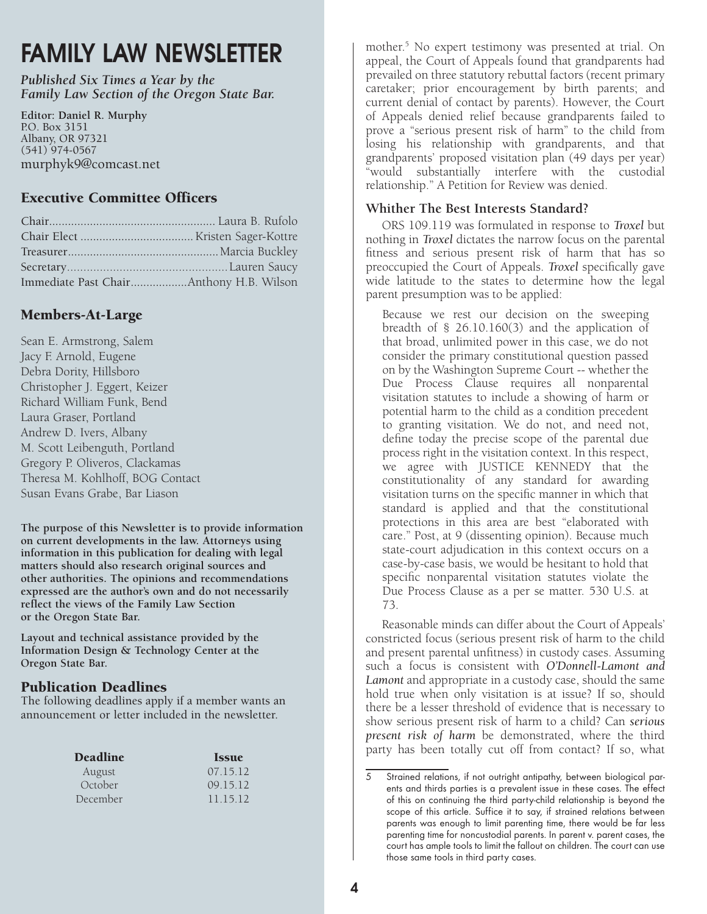# FAMILY LAW NEWSLETTER

*Published Six Times a Year by the Family Law Section of the Oregon State Bar.*

**Editor: Daniel R. Murphy** P.O. Box 3151 Albany, OR 97321 (541) 974-0567 murphyk9@comcast.net

#### Executive Committee Officers

| Immediate Past ChairAnthony H.B. Wilson |  |
|-----------------------------------------|--|

#### Members-At-Large

Sean E. Armstrong, Salem Jacy F. Arnold, Eugene Debra Dority, Hillsboro Christopher J. Eggert, Keizer Richard William Funk, Bend Laura Graser, Portland Andrew D. Ivers, Albany M. Scott Leibenguth, Portland Gregory P. Oliveros, Clackamas Theresa M. Kohlhoff, BOG Contact Susan Evans Grabe, Bar Liason

**The purpose of this Newsletter is to provide information on current developments in the law. Attorneys using information in this publication for dealing with legal matters should also research original sources and other authorities. The opinions and recommendations expressed are the author's own and do not necessarily reflect the views of the Family Law Section or the Oregon State Bar.**

**Layout and technical assistance provided by the Information Design & Technology Center at the Oregon State Bar.** 

#### Publication Deadlines

The following deadlines apply if a member wants an announcement or letter included in the newsletter.

| <b>Issue</b> |
|--------------|
| 07.15.12     |
| 09.15.12     |
| 11.15.12     |
|              |

mother.5 No expert testimony was presented at trial. On appeal, the Court of Appeals found that grandparents had prevailed on three statutory rebuttal factors (recent primary caretaker; prior encouragement by birth parents; and current denial of contact by parents). However, the Court of Appeals denied relief because grandparents failed to prove a "serious present risk of harm" to the child from losing his relationship with grandparents, and that grandparents' proposed visitation plan (49 days per year) "would substantially interfere with the custodial relationship." A Petition for Review was denied.

#### **Whither The Best Interests Standard?**

ORS 109.119 was formulated in response to *Troxel* but nothing in *Troxel* dictates the narrow focus on the parental fitness and serious present risk of harm that has so preoccupied the Court of Appeals. *Troxel* specifically gave wide latitude to the states to determine how the legal parent presumption was to be applied:

Because we rest our decision on the sweeping breadth of § 26.10.160(3) and the application of that broad, unlimited power in this case, we do not consider the primary constitutional question passed on by the Washington Supreme Court -- whether the Due Process Clause requires all nonparental visitation statutes to include a showing of harm or potential harm to the child as a condition precedent to granting visitation. We do not, and need not, define today the precise scope of the parental due process right in the visitation context. In this respect, we agree with JUSTICE KENNEDY that the constitutionality of any standard for awarding visitation turns on the specific manner in which that standard is applied and that the constitutional protections in this area are best "elaborated with care." Post, at 9 (dissenting opinion). Because much state-court adjudication in this context occurs on a case-by-case basis, we would be hesitant to hold that specific nonparental visitation statutes violate the Due Process Clause as a per se matter. 530 U.S. at 73.

Reasonable minds can differ about the Court of Appeals' constricted focus (serious present risk of harm to the child and present parental unfitness) in custody cases. Assuming such a focus is consistent with *O'Donnell-Lamont and*  Lamont and appropriate in a custody case, should the same hold true when only visitation is at issue? If so, should there be a lesser threshold of evidence that is necessary to show serious present risk of harm to a child? Can *serious present risk of harm* be demonstrated, where the third party has been totally cut off from contact? If so, what

<sup>5</sup> Strained relations, if not outright antipathy, between biological parents and thirds parties is a prevalent issue in these cases. The effect of this on continuing the third party-child relationship is beyond the scope of this article. Suffice it to say, if strained relations between parents was enough to limit parenting time, there would be far less parenting time for noncustodial parents. In parent v. parent cases, the court has ample tools to limit the fallout on children. The court can use those same tools in third party cases.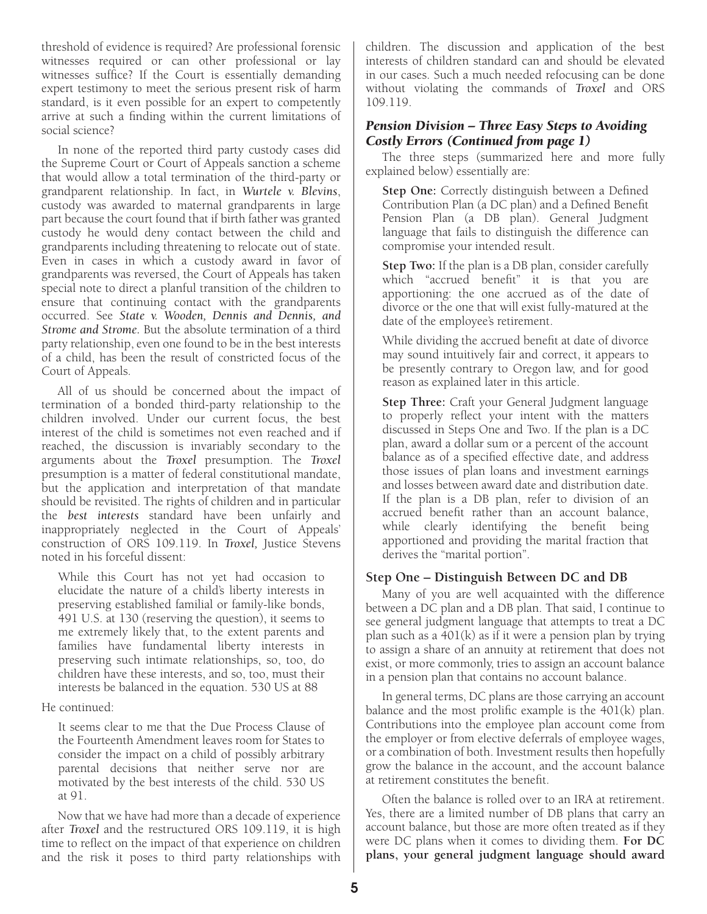<span id="page-4-0"></span>threshold of evidence is required? Are professional forensic witnesses required or can other professional or lay witnesses suffice? If the Court is essentially demanding expert testimony to meet the serious present risk of harm standard, is it even possible for an expert to competently arrive at such a finding within the current limitations of social science?

In none of the reported third party custody cases did the Supreme Court or Court of Appeals sanction a scheme that would allow a total termination of the third-party or grandparent relationship. In fact, in *Wurtele v. Blevins*, custody was awarded to maternal grandparents in large part because the court found that if birth father was granted custody he would deny contact between the child and grandparents including threatening to relocate out of state. Even in cases in which a custody award in favor of grandparents was reversed, the Court of Appeals has taken special note to direct a planful transition of the children to ensure that continuing contact with the grandparents occurred. See *State v. Wooden, Dennis and Dennis, and Strome and Strome.* But the absolute termination of a third party relationship, even one found to be in the best interests of a child, has been the result of constricted focus of the Court of Appeals.

All of us should be concerned about the impact of termination of a bonded third-party relationship to the children involved. Under our current focus, the best interest of the child is sometimes not even reached and if reached, the discussion is invariably secondary to the arguments about the *Troxel* presumption. The *Troxel* presumption is a matter of federal constitutional mandate, but the application and interpretation of that mandate should be revisited. The rights of children and in particular the *best interests* standard have been unfairly and inappropriately neglected in the Court of Appeals' construction of ORS 109.119. In *Troxel,* Justice Stevens noted in his forceful dissent:

While this Court has not yet had occasion to elucidate the nature of a child's liberty interests in preserving established familial or family-like bonds, 491 U.S. at 130 (reserving the question), it seems to me extremely likely that, to the extent parents and families have fundamental liberty interests in preserving such intimate relationships, so, too, do children have these interests, and so, too, must their interests be balanced in the equation. 530 US at 88

He continued:

It seems clear to me that the Due Process Clause of the Fourteenth Amendment leaves room for States to consider the impact on a child of possibly arbitrary parental decisions that neither serve nor are motivated by the best interests of the child. 530 US at 91.

Now that we have had more than a decade of experience after *Troxel* and the restructured ORS 109.119, it is high time to reflect on the impact of that experience on children and the risk it poses to third party relationships with children. The discussion and application of the best interests of children standard can and should be elevated in our cases. Such a much needed refocusing can be done without violating the commands of *Troxel* and ORS 109.119.

#### *Pension Division – Three Easy Steps to Avoiding Costly Errors (Continued from page 1)*

The three steps (summarized here and more fully explained below) essentially are:

**Step One:** Correctly distinguish between a Defined Contribution Plan (a DC plan) and a Defined Benefit Pension Plan (a DB plan). General Judgment language that fails to distinguish the difference can compromise your intended result.

**Step Two:** If the plan is a DB plan, consider carefully which "accrued benefit" it is that you are apportioning: the one accrued as of the date of divorce or the one that will exist fully-matured at the date of the employee's retirement.

While dividing the accrued benefit at date of divorce may sound intuitively fair and correct, it appears to be presently contrary to Oregon law, and for good reason as explained later in this article.

**Step Three:** Craft your General Judgment language to properly reflect your intent with the matters discussed in Steps One and Two. If the plan is a DC plan, award a dollar sum or a percent of the account balance as of a specified effective date, and address those issues of plan loans and investment earnings and losses between award date and distribution date. If the plan is a DB plan, refer to division of an accrued benefit rather than an account balance, while clearly identifying the benefit being apportioned and providing the marital fraction that derives the "marital portion".

#### **Step One – Distinguish Between DC and DB**

Many of you are well acquainted with the difference between a DC plan and a DB plan. That said, I continue to see general judgment language that attempts to treat a DC plan such as a  $401(k)$  as if it were a pension plan by trying to assign a share of an annuity at retirement that does not exist, or more commonly, tries to assign an account balance in a pension plan that contains no account balance.

In general terms, DC plans are those carrying an account balance and the most prolific example is the 401(k) plan. Contributions into the employee plan account come from the employer or from elective deferrals of employee wages, or a combination of both. Investment results then hopefully grow the balance in the account, and the account balance at retirement constitutes the benefit.

Often the balance is rolled over to an IRA at retirement. Yes, there are a limited number of DB plans that carry an account balance, but those are more often treated as if they were DC plans when it comes to dividing them. **For DC plans, your general judgment language should award**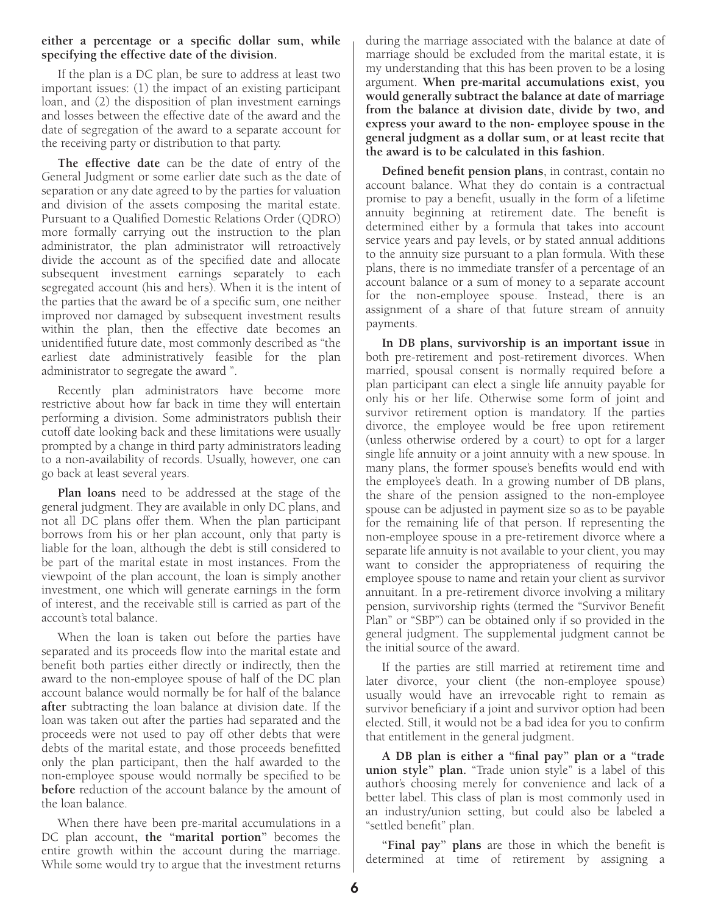#### **either a percentage or a specific dollar sum, while specifying the effective date of the division.**

If the plan is a DC plan, be sure to address at least two important issues: (1) the impact of an existing participant loan, and (2) the disposition of plan investment earnings and losses between the effective date of the award and the date of segregation of the award to a separate account for the receiving party or distribution to that party.

**The effective date** can be the date of entry of the General Judgment or some earlier date such as the date of separation or any date agreed to by the parties for valuation and division of the assets composing the marital estate. Pursuant to a Qualified Domestic Relations Order (QDRO) more formally carrying out the instruction to the plan administrator, the plan administrator will retroactively divide the account as of the specified date and allocate subsequent investment earnings separately to each segregated account (his and hers). When it is the intent of the parties that the award be of a specific sum, one neither improved nor damaged by subsequent investment results within the plan, then the effective date becomes an unidentified future date, most commonly described as "the earliest date administratively feasible for the plan administrator to segregate the award ".

Recently plan administrators have become more restrictive about how far back in time they will entertain performing a division. Some administrators publish their cutoff date looking back and these limitations were usually prompted by a change in third party administrators leading to a non-availability of records. Usually, however, one can go back at least several years.

**Plan loans** need to be addressed at the stage of the general judgment. They are available in only DC plans, and not all DC plans offer them. When the plan participant borrows from his or her plan account, only that party is liable for the loan, although the debt is still considered to be part of the marital estate in most instances. From the viewpoint of the plan account, the loan is simply another investment, one which will generate earnings in the form of interest, and the receivable still is carried as part of the account's total balance.

When the loan is taken out before the parties have separated and its proceeds flow into the marital estate and benefit both parties either directly or indirectly, then the award to the non-employee spouse of half of the DC plan account balance would normally be for half of the balance **after** subtracting the loan balance at division date. If the loan was taken out after the parties had separated and the proceeds were not used to pay off other debts that were debts of the marital estate, and those proceeds benefitted only the plan participant, then the half awarded to the non-employee spouse would normally be specified to be **before** reduction of the account balance by the amount of the loan balance.

When there have been pre-marital accumulations in a DC plan account**, the "marital portion"** becomes the entire growth within the account during the marriage. While some would try to argue that the investment returns

during the marriage associated with the balance at date of marriage should be excluded from the marital estate, it is my understanding that this has been proven to be a losing argument. **When pre-marital accumulations exist, you would generally subtract the balance at date of marriage from the balance at division date, divide by two, and express your award to the non- employee spouse in the general judgment as a dollar sum, or at least recite that the award is to be calculated in this fashion.**

**Defined benefit pension plans**, in contrast, contain no account balance. What they do contain is a contractual promise to pay a benefit, usually in the form of a lifetime annuity beginning at retirement date. The benefit is determined either by a formula that takes into account service years and pay levels, or by stated annual additions to the annuity size pursuant to a plan formula. With these plans, there is no immediate transfer of a percentage of an account balance or a sum of money to a separate account for the non-employee spouse. Instead, there is an assignment of a share of that future stream of annuity payments.

**In DB plans, survivorship is an important issue** in both pre-retirement and post-retirement divorces. When married, spousal consent is normally required before a plan participant can elect a single life annuity payable for only his or her life. Otherwise some form of joint and survivor retirement option is mandatory. If the parties divorce, the employee would be free upon retirement (unless otherwise ordered by a court) to opt for a larger single life annuity or a joint annuity with a new spouse. In many plans, the former spouse's benefits would end with the employee's death. In a growing number of DB plans, the share of the pension assigned to the non-employee spouse can be adjusted in payment size so as to be payable for the remaining life of that person. If representing the non-employee spouse in a pre-retirement divorce where a separate life annuity is not available to your client, you may want to consider the appropriateness of requiring the employee spouse to name and retain your client as survivor annuitant. In a pre-retirement divorce involving a military pension, survivorship rights (termed the "Survivor Benefit Plan" or "SBP") can be obtained only if so provided in the general judgment. The supplemental judgment cannot be the initial source of the award.

If the parties are still married at retirement time and later divorce, your client (the non-employee spouse) usually would have an irrevocable right to remain as survivor beneficiary if a joint and survivor option had been elected. Still, it would not be a bad idea for you to confirm that entitlement in the general judgment.

**A DB plan is either a "final pay" plan or a "trade union style" plan.** "Trade union style" is a label of this author's choosing merely for convenience and lack of a better label. This class of plan is most commonly used in an industry/union setting, but could also be labeled a "settled benefit" plan.

**"Final pay" plans** are those in which the benefit is determined at time of retirement by assigning a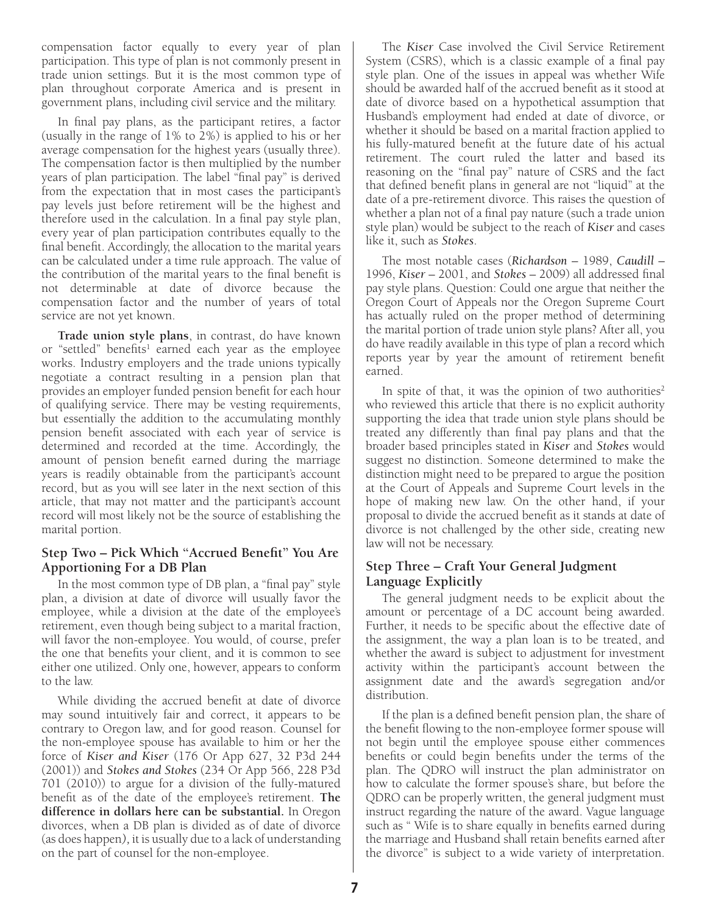<span id="page-6-0"></span>compensation factor equally to every year of plan participation. This type of plan is not commonly present in trade union settings. But it is the most common type of plan throughout corporate America and is present in government plans, including civil service and the military.

In final pay plans, as the participant retires, a factor (usually in the range of 1% to 2%) is applied to his or her average compensation for the highest years (usually three). The compensation factor is then multiplied by the number years of plan participation. The label "final pay" is derived from the expectation that in most cases the participant's pay levels just before retirement will be the highest and therefore used in the calculation. In a final pay style plan, every year of plan participation contributes equally to the final benefit. Accordingly, the allocation to the marital years can be calculated under a time rule approach. The value of the contribution of the marital years to the final benefit is not determinable at date of divorce because the compensation factor and the number of years of total service are not yet known.

**Trade union style plans**, in contrast, do have known or "settled" benefits<sup>1</sup> earned each year as the employee works. Industry employers and the trade unions typically negotiate a contract resulting in a pension plan that provides an employer funded pension benefit for each hour of qualifying service. There may be vesting requirements, but essentially the addition to the accumulating monthly pension benefit associated with each year of service is determined and recorded at the time. Accordingly, the amount of pension benefit earned during the marriage years is readily obtainable from the participant's account record, but as you will see later in the next section of this article, that may not matter and the participant's account record will most likely not be the source of establishing the marital portion.

#### **Step Two – Pick Which "Accrued Benefit" You Are Apportioning For a DB Plan**

In the most common type of DB plan, a "final pay" style plan, a division at date of divorce will usually favor the employee, while a division at the date of the employee's retirement, even though being subject to a marital fraction, will favor the non-employee. You would, of course, prefer the one that benefits your client, and it is common to see either one utilized. Only one, however, appears to conform to the law.

While dividing the accrued benefit at date of divorce may sound intuitively fair and correct, it appears to be contrary to Oregon law, and for good reason. Counsel for the non-employee spouse has available to him or her the force of *Kiser and Kiser* (176 Or App 627, 32 P3d 244 (2001)) and *Stokes and Stokes* (234 Or App 566, 228 P3d 701 (2010)) to argue for a division of the fully-matured benefit as of the date of the employee's retirement. **The difference in dollars here can be substantial.** In Oregon divorces, when a DB plan is divided as of date of divorce (as does happen*),* it is usually due to a lack of understanding on the part of counsel for the non-employee.

The *Kiser* Case involved the Civil Service Retirement System (CSRS), which is a classic example of a final pay style plan. One of the issues in appeal was whether Wife should be awarded half of the accrued benefit as it stood at date of divorce based on a hypothetical assumption that Husband's employment had ended at date of divorce, or whether it should be based on a marital fraction applied to his fully-matured benefit at the future date of his actual retirement. The court ruled the latter and based its reasoning on the "final pay" nature of CSRS and the fact that defined benefit plans in general are not "liquid" at the date of a pre-retirement divorce. This raises the question of whether a plan not of a final pay nature (such a trade union style plan) would be subject to the reach of *Kiser* and cases like it, such as *Stokes*.

The most notable cases (*Richardson* – 1989, *Caudill* – 1996, *Kiser* – 2001, and *Stokes* – 2009) all addressed final pay style plans. Question: Could one argue that neither the Oregon Court of Appeals nor the Oregon Supreme Court has actually ruled on the proper method of determining the marital portion of trade union style plans? After all, you do have readily available in this type of plan a record which reports year by year the amount of retirement benefit earned.

In spite of that, it was the opinion of two authorities<sup>2</sup> who reviewed this article that there is no explicit authority supporting the idea that trade union style plans should be treated any differently than final pay plans and that the broader based principles stated in *Kiser* and *Stokes* would suggest no distinction. Someone determined to make the distinction might need to be prepared to argue the position at the Court of Appeals and Supreme Court levels in the hope of making new law. On the other hand, if your proposal to divide the accrued benefit as it stands at date of divorce is not challenged by the other side, creating new law will not be necessary.

#### **Step Three – Craft Your General Judgment Language Explicitly**

The general judgment needs to be explicit about the amount or percentage of a DC account being awarded. Further, it needs to be specific about the effective date of the assignment, the way a plan loan is to be treated, and whether the award is subject to adjustment for investment activity within the participant's account between the assignment date and the award's segregation and/or distribution.

If the plan is a defined benefit pension plan, the share of the benefit flowing to the non-employee former spouse will not begin until the employee spouse either commences benefits or could begin benefits under the terms of the plan. The QDRO will instruct the plan administrator on how to calculate the former spouse's share, but before the QDRO can be properly written, the general judgment must instruct regarding the nature of the award. Vague language such as " Wife is to share equally in benefits earned during the marriage and Husband shall retain benefits earned after the divorce" is subject to a wide variety of interpretation.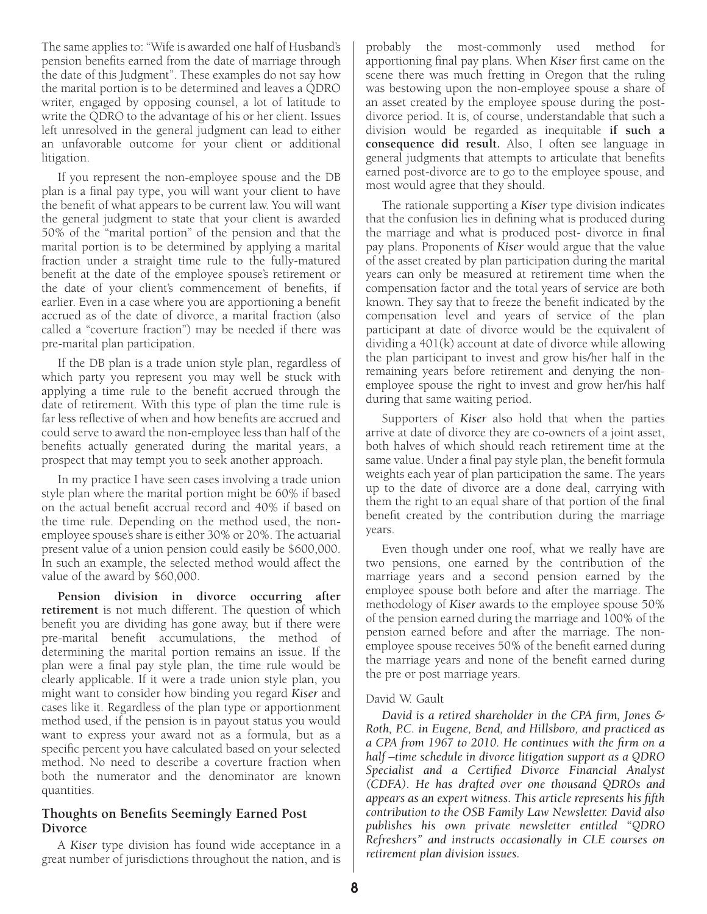<span id="page-7-0"></span>The same applies to: "Wife is awarded one half of Husband's pension benefits earned from the date of marriage through the date of this Judgment". These examples do not say how the marital portion is to be determined and leaves a QDRO writer, engaged by opposing counsel, a lot of latitude to write the QDRO to the advantage of his or her client. Issues left unresolved in the general judgment can lead to either an unfavorable outcome for your client or additional litigation.

If you represent the non-employee spouse and the DB plan is a final pay type, you will want your client to have the benefit of what appears to be current law. You will want the general judgment to state that your client is awarded 50% of the "marital portion" of the pension and that the marital portion is to be determined by applying a marital fraction under a straight time rule to the fully-matured benefit at the date of the employee spouse's retirement or the date of your client's commencement of benefits, if earlier. Even in a case where you are apportioning a benefit accrued as of the date of divorce, a marital fraction (also called a "coverture fraction") may be needed if there was pre-marital plan participation.

If the DB plan is a trade union style plan, regardless of which party you represent you may well be stuck with applying a time rule to the benefit accrued through the date of retirement. With this type of plan the time rule is far less reflective of when and how benefits are accrued and could serve to award the non-employee less than half of the benefits actually generated during the marital years, a prospect that may tempt you to seek another approach.

In my practice I have seen cases involving a trade union style plan where the marital portion might be 60% if based on the actual benefit accrual record and 40% if based on the time rule. Depending on the method used, the nonemployee spouse's share is either 30% or 20%. The actuarial present value of a union pension could easily be \$600,000. In such an example, the selected method would affect the value of the award by \$60,000.

**Pension division in divorce occurring after retirement** is not much different. The question of which benefit you are dividing has gone away, but if there were pre-marital benefit accumulations, the method of determining the marital portion remains an issue. If the plan were a final pay style plan, the time rule would be clearly applicable. If it were a trade union style plan, you might want to consider how binding you regard *Kiser* and cases like it. Regardless of the plan type or apportionment method used, if the pension is in payout status you would want to express your award not as a formula, but as a specific percent you have calculated based on your selected method. No need to describe a coverture fraction when both the numerator and the denominator are known quantities.

#### **Thoughts on Benefits Seemingly Earned Post Divorce**

A *Kiser* type division has found wide acceptance in a great number of jurisdictions throughout the nation, and is probably the most-commonly used method for apportioning final pay plans. When *Kiser* first came on the scene there was much fretting in Oregon that the ruling was bestowing upon the non-employee spouse a share of an asset created by the employee spouse during the postdivorce period. It is, of course, understandable that such a division would be regarded as inequitable **if such a consequence did result.** Also, I often see language in general judgments that attempts to articulate that benefits earned post-divorce are to go to the employee spouse, and most would agree that they should.

The rationale supporting a *Kiser* type division indicates that the confusion lies in defining what is produced during the marriage and what is produced post- divorce in final pay plans. Proponents of *Kiser* would argue that the value of the asset created by plan participation during the marital years can only be measured at retirement time when the compensation factor and the total years of service are both known. They say that to freeze the benefit indicated by the compensation level and years of service of the plan participant at date of divorce would be the equivalent of dividing a 401(k) account at date of divorce while allowing the plan participant to invest and grow his/her half in the remaining years before retirement and denying the nonemployee spouse the right to invest and grow her/his half during that same waiting period.

Supporters of *Kiser* also hold that when the parties arrive at date of divorce they are co-owners of a joint asset, both halves of which should reach retirement time at the same value. Under a final pay style plan, the benefit formula weights each year of plan participation the same. The years up to the date of divorce are a done deal, carrying with them the right to an equal share of that portion of the final benefit created by the contribution during the marriage years.

Even though under one roof, what we really have are two pensions, one earned by the contribution of the marriage years and a second pension earned by the employee spouse both before and after the marriage. The methodology of *Kiser* awards to the employee spouse 50% of the pension earned during the marriage and 100% of the pension earned before and after the marriage. The nonemployee spouse receives 50% of the benefit earned during the marriage years and none of the benefit earned during the pre or post marriage years.

#### David W. Gault

*David is a retired shareholder in the CPA firm, Jones & Roth, P.C. in Eugene, Bend, and Hillsboro, and practiced as a CPA from 1967 to 2010. He continues with the firm on a half –time schedule in divorce litigation support as a QDRO Specialist and a Certified Divorce Financial Analyst (CDFA). He has drafted over one thousand QDROs and appears as an expert witness. This article represents his fifth contribution to the OSB Family Law Newsletter. David also publishes his own private newsletter entitled "QDRO Refreshers" and instructs occasionally in CLE courses on retirement plan division issues.*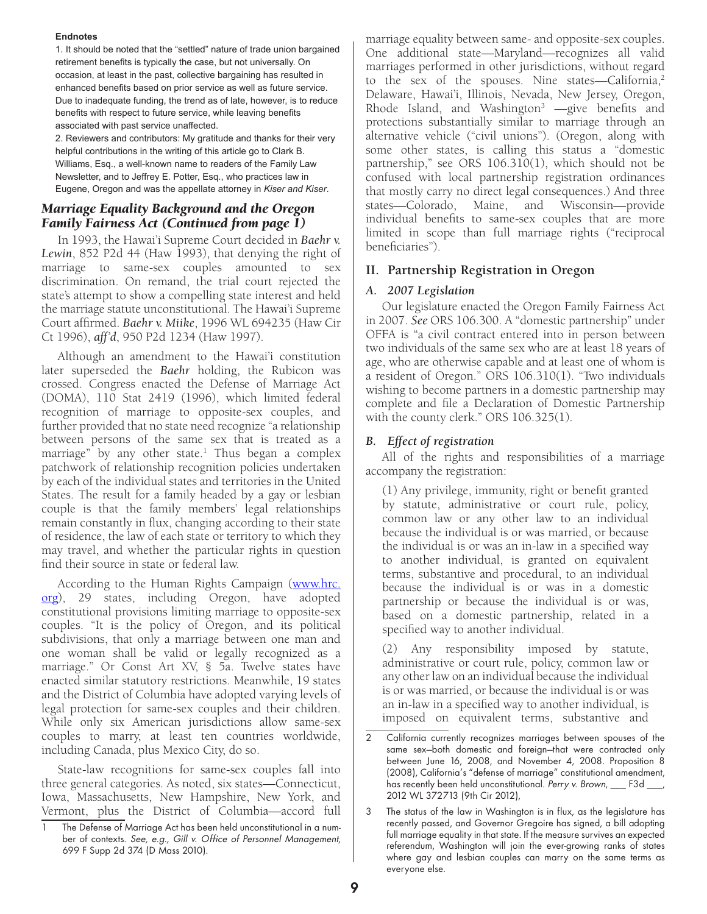#### <span id="page-8-0"></span>**Endnotes**

1. It should be noted that the "settled" nature of trade union bargained retirement benefits is typically the case, but not universally. On occasion, at least in the past, collective bargaining has resulted in enhanced benefits based on prior service as well as future service. Due to inadequate funding, the trend as of late, however, is to reduce benefits with respect to future service, while leaving benefits associated with past service unaffected.

2. Reviewers and contributors: My gratitude and thanks for their very helpful contributions in the writing of this article go to Clark B. Williams, Esq., a well-known name to readers of the Family Law Newsletter, and to Jeffrey E. Potter, Esq., who practices law in Eugene, Oregon and was the appellate attorney in *Kiser and Kiser*.

#### *Marriage Equality Background and the Oregon Family Fairness Act (Continued from page 1)*

In 1993, the Hawai'i Supreme Court decided in *Baehr v. Lewin*, 852 P2d 44 (Haw 1993), that denying the right of marriage to same-sex couples amounted to sex discrimination. On remand, the trial court rejected the state's attempt to show a compelling state interest and held the marriage statute unconstitutional. The Hawai'i Supreme Court affirmed. *Baehr v. Miike*, 1996 WL 694235 (Haw Cir Ct 1996), *aff'd*, 950 P2d 1234 (Haw 1997).

Although an amendment to the Hawai'i constitution later superseded the *Baehr* holding, the Rubicon was crossed. Congress enacted the Defense of Marriage Act (DOMA), 110 Stat 2419 (1996), which limited federal recognition of marriage to opposite-sex couples, and further provided that no state need recognize "a relationship between persons of the same sex that is treated as a marriage" by any other state.<sup>1</sup> Thus began a complex patchwork of relationship recognition policies undertaken by each of the individual states and territories in the United States. The result for a family headed by a gay or lesbian couple is that the family members' legal relationships remain constantly in flux, changing according to their state of residence, the law of each state or territory to which they may travel, and whether the particular rights in question find their source in state or federal law.

According to the Human Rights Campaign [\(www.hrc.](www.hrc.org) [org](www.hrc.org)), 29 states, including Oregon, have adopted constitutional provisions limiting marriage to opposite-sex couples. "It is the policy of Oregon, and its political subdivisions, that only a marriage between one man and one woman shall be valid or legally recognized as a marriage." Or Const Art XV, § 5a. Twelve states have enacted similar statutory restrictions. Meanwhile, 19 states and the District of Columbia have adopted varying levels of legal protection for same-sex couples and their children. While only six American jurisdictions allow same-sex couples to marry, at least ten countries worldwide, including Canada, plus Mexico City, do so.

State-law recognitions for same-sex couples fall into three general categories. As noted, six states—Connecticut, Iowa, Massachusetts, New Hampshire, New York, and Vermont, plus the District of Columbia—accord full marriage equality between same- and opposite-sex couples. One additional state—Maryland—recognizes all valid marriages performed in other jurisdictions, without regard to the sex of the spouses. Nine states—California,<sup>2</sup> Delaware, Hawai'i, Illinois, Nevada, New Jersey, Oregon, Rhode Island, and Washington<sup>3</sup>  $-\text{give}$  benefits and protections substantially similar to marriage through an alternative vehicle ("civil unions"). (Oregon, along with some other states, is calling this status a "domestic partnership," see ORS 106.310(1), which should not be confused with local partnership registration ordinances that mostly carry no direct legal consequences.) And three states—Colorado, Maine, and Wisconsin—provide individual benefits to same-sex couples that are more limited in scope than full marriage rights ("reciprocal beneficiaries").

#### **II. Partnership Registration in Oregon**

#### *A. 2007 Legislation*

Our legislature enacted the Oregon Family Fairness Act in 2007. *See* ORS 106.300. A "domestic partnership" under OFFA is "a civil contract entered into in person between two individuals of the same sex who are at least 18 years of age, who are otherwise capable and at least one of whom is a resident of Oregon." ORS 106.310(1). "Two individuals wishing to become partners in a domestic partnership may complete and file a Declaration of Domestic Partnership with the county clerk." ORS 106.325(1).

#### *B. Effect of registration*

All of the rights and responsibilities of a marriage accompany the registration:

(1) Any privilege, immunity, right or benefit granted by statute, administrative or court rule, policy, common law or any other law to an individual because the individual is or was married, or because the individual is or was an in-law in a specified way to another individual, is granted on equivalent terms, substantive and procedural, to an individual because the individual is or was in a domestic partnership or because the individual is or was, based on a domestic partnership, related in a specified way to another individual.

(2) Any responsibility imposed by statute, administrative or court rule, policy, common law or any other law on an individual because the individual is or was married, or because the individual is or was an in-law in a specified way to another individual, is imposed on equivalent terms, substantive and

The Defense of Marriage Act has been held unconstitutional in a number of contexts. See, e.g., Gill v. Office of Personnel Management, 699 F Supp 2d 374 (D Mass 2010).

<sup>2</sup> California currently recognizes marriages between spouses of the same sex—both domestic and foreign—that were contracted only between June 16, 2008, and November 4, 2008. Proposition 8 (2008), California's "defense of marriage" constitutional amendment, has recently been held unconstitutional. Perry v. Brown, \_\_\_ F3d \_\_\_, 2012 WL 372713 (9th Cir 2012),

<sup>3</sup> The status of the law in Washington is in flux, as the legislature has recently passed, and Governor Gregoire has signed, a bill adopting full marriage equality in that state. If the measure survives an expected referendum, Washington will join the ever-growing ranks of states where gay and lesbian couples can marry on the same terms as everyone else.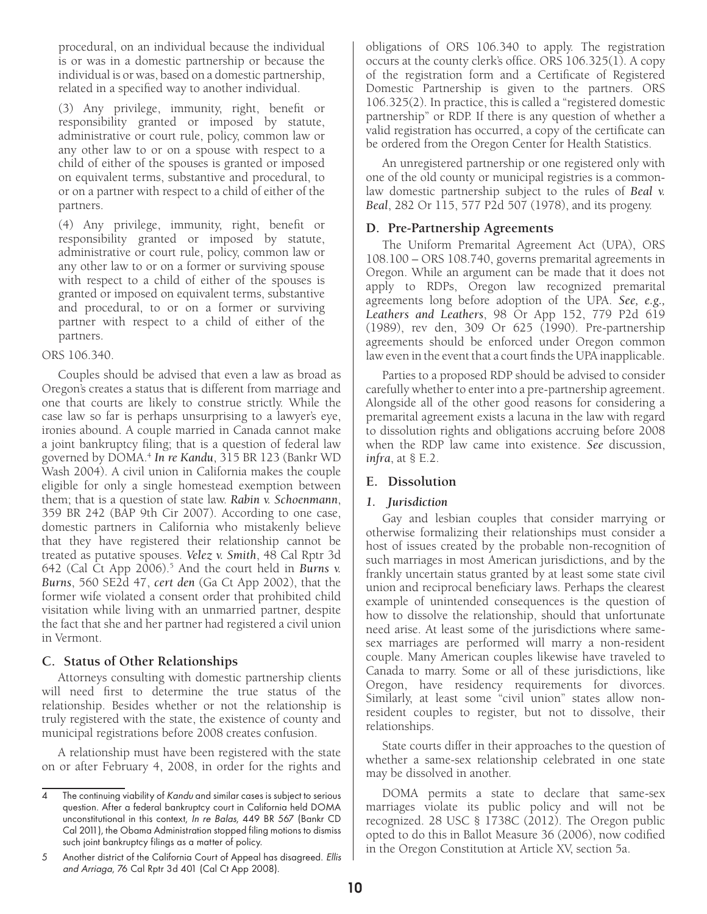<span id="page-9-0"></span>procedural, on an individual because the individual is or was in a domestic partnership or because the individual is or was, based on a domestic partnership, related in a specified way to another individual.

(3) Any privilege, immunity, right, benefit or responsibility granted or imposed by statute, administrative or court rule, policy, common law or any other law to or on a spouse with respect to a child of either of the spouses is granted or imposed on equivalent terms, substantive and procedural, to or on a partner with respect to a child of either of the partners.

(4) Any privilege, immunity, right, benefit or responsibility granted or imposed by statute, administrative or court rule, policy, common law or any other law to or on a former or surviving spouse with respect to a child of either of the spouses is granted or imposed on equivalent terms, substantive and procedural, to or on a former or surviving partner with respect to a child of either of the partners.

#### ORS 106.340.

Couples should be advised that even a law as broad as Oregon's creates a status that is different from marriage and one that courts are likely to construe strictly. While the case law so far is perhaps unsurprising to a lawyer's eye, ironies abound. A couple married in Canada cannot make a joint bankruptcy filing; that is a question of federal law governed by DOMA.4 *In re Kandu*, 315 BR 123 (Bankr WD Wash 2004). A civil union in California makes the couple eligible for only a single homestead exemption between them; that is a question of state law. *Rabin v. Schoenmann*, 359 BR 242 (BAP 9th Cir 2007). According to one case, domestic partners in California who mistakenly believe that they have registered their relationship cannot be treated as putative spouses. *Velez v. Smith*, 48 Cal Rptr 3d 642 (Cal Ct App 2006).5 And the court held in *Burns v. Burns*, 560 SE2d 47, *cert den* (Ga Ct App 2002), that the former wife violated a consent order that prohibited child visitation while living with an unmarried partner, despite the fact that she and her partner had registered a civil union in Vermont.

#### **C. Status of Other Relationships**

Attorneys consulting with domestic partnership clients will need first to determine the true status of the relationship. Besides whether or not the relationship is truly registered with the state, the existence of county and municipal registrations before 2008 creates confusion.

A relationship must have been registered with the state on or after February 4, 2008, in order for the rights and obligations of ORS 106.340 to apply. The registration occurs at the county clerk's office. ORS 106.325(1). A copy of the registration form and a Certificate of Registered Domestic Partnership is given to the partners. ORS 106.325(2). In practice, this is called a "registered domestic partnership" or RDP. If there is any question of whether a valid registration has occurred, a copy of the certificate can be ordered from the Oregon Center for Health Statistics.

An unregistered partnership or one registered only with one of the old county or municipal registries is a commonlaw domestic partnership subject to the rules of *Beal v. Beal*, 282 Or 115, 577 P2d 507 (1978), and its progeny.

#### **D. Pre-Partnership Agreements**

The Uniform Premarital Agreement Act (UPA), ORS 108.100 – ORS 108.740, governs premarital agreements in Oregon. While an argument can be made that it does not apply to RDPs, Oregon law recognized premarital agreements long before adoption of the UPA. *See, e.g., Leathers and Leathers*, 98 Or App 152, 779 P2d 619 (1989), rev den, 309 Or 625 (1990). Pre-partnership agreements should be enforced under Oregon common law even in the event that a court finds the UPA inapplicable.

Parties to a proposed RDP should be advised to consider carefully whether to enter into a pre-partnership agreement. Alongside all of the other good reasons for considering a premarital agreement exists a lacuna in the law with regard to dissolution rights and obligations accruing before 2008 when the RDP law came into existence. *See* discussion, *infra*, at § E.2.

#### **E. Dissolution**

#### *1. Jurisdiction*

Gay and lesbian couples that consider marrying or otherwise formalizing their relationships must consider a host of issues created by the probable non-recognition of such marriages in most American jurisdictions, and by the frankly uncertain status granted by at least some state civil union and reciprocal beneficiary laws. Perhaps the clearest example of unintended consequences is the question of how to dissolve the relationship, should that unfortunate need arise. At least some of the jurisdictions where samesex marriages are performed will marry a non-resident couple. Many American couples likewise have traveled to Canada to marry. Some or all of these jurisdictions, like Oregon, have residency requirements for divorces. Similarly, at least some "civil union" states allow nonresident couples to register, but not to dissolve, their relationships.

State courts differ in their approaches to the question of whether a same-sex relationship celebrated in one state may be dissolved in another.

DOMA permits a state to declare that same-sex marriages violate its public policy and will not be recognized. 28 USC § 1738C (2012). The Oregon public opted to do this in Ballot Measure 36 (2006), now codified in the Oregon Constitution at Article XV, section 5a.

The continuing viability of Kandu and similar cases is subject to serious question. After a federal bankruptcy court in California held DOMA unconstitutional in this context, In re Balas, 449 BR 567 (Bankr CD Cal 2011), the Obama Administration stopped filing motions to dismiss such joint bankruptcy filings as a matter of policy.

<sup>5</sup> Another district of the California Court of Appeal has disagreed. Ellis and Arriaga, 76 Cal Rptr 3d 401 (Cal Ct App 2008).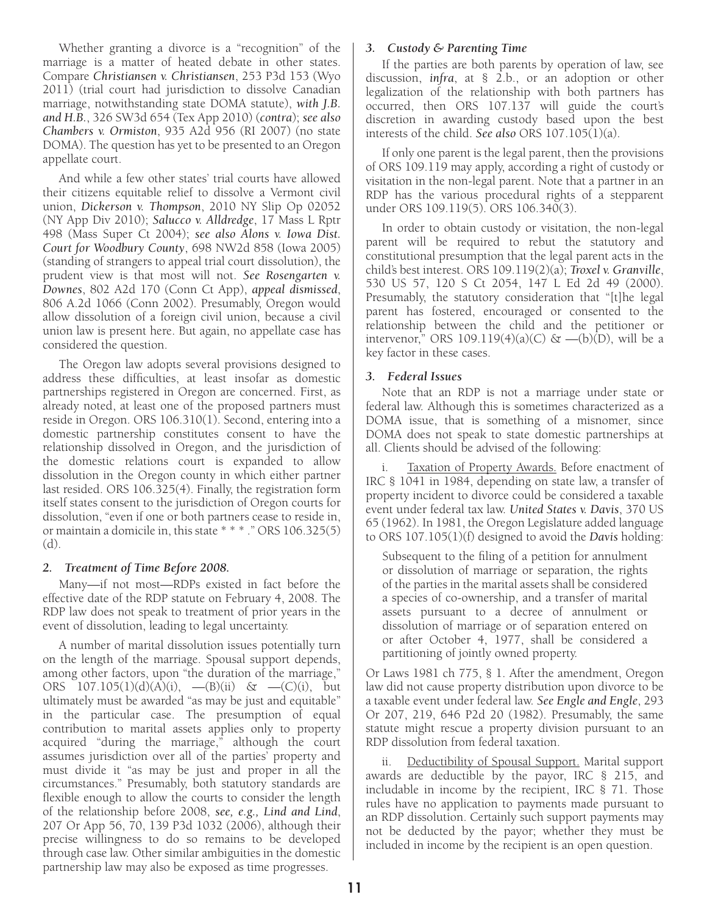Whether granting a divorce is a "recognition" of the marriage is a matter of heated debate in other states. Compare *Christiansen v. Christiansen*, 253 P3d 153 (Wyo 2011) (trial court had jurisdiction to dissolve Canadian marriage, notwithstanding state DOMA statute), *with J.B. and H.B.*, 326 SW3d 654 (Tex App 2010) (*contra*); *see also Chambers v. Ormiston*, 935 A2d 956 (RI 2007) (no state DOMA). The question has yet to be presented to an Oregon appellate court.

And while a few other states' trial courts have allowed their citizens equitable relief to dissolve a Vermont civil union, *Dickerson v. Thompson*, 2010 NY Slip Op 02052 (NY App Div 2010); *Salucco v. Alldredge*, 17 Mass L Rptr 498 (Mass Super Ct 2004); *see also Alons v. Iowa Dist. Court for Woodbury County*, 698 NW2d 858 (Iowa 2005) (standing of strangers to appeal trial court dissolution), the prudent view is that most will not. *See Rosengarten v. Downes*, 802 A2d 170 (Conn Ct App), *appeal dismissed*, 806 A.2d 1066 (Conn 2002). Presumably, Oregon would allow dissolution of a foreign civil union, because a civil union law is present here. But again, no appellate case has considered the question.

The Oregon law adopts several provisions designed to address these difficulties, at least insofar as domestic partnerships registered in Oregon are concerned. First, as already noted, at least one of the proposed partners must reside in Oregon. ORS 106.310(1). Second, entering into a domestic partnership constitutes consent to have the relationship dissolved in Oregon, and the jurisdiction of the domestic relations court is expanded to allow dissolution in the Oregon county in which either partner last resided. ORS 106.325(4). Finally, the registration form itself states consent to the jurisdiction of Oregon courts for dissolution, "even if one or both partners cease to reside in, or maintain a domicile in, this state \* \* \* ." ORS 106.325(5) (d).

#### *2. Treatment of Time Before 2008.*

Many—if not most—RDPs existed in fact before the effective date of the RDP statute on February 4, 2008. The RDP law does not speak to treatment of prior years in the event of dissolution, leading to legal uncertainty.

A number of marital dissolution issues potentially turn on the length of the marriage. Spousal support depends, among other factors, upon "the duration of the marriage," ORS  $107.105(1)(d)(A)(i)$ ,  $-(B)(ii)$  &  $-(C)(i)$ , but ultimately must be awarded "as may be just and equitable" in the particular case. The presumption of equal contribution to marital assets applies only to property acquired "during the marriage," although the court assumes jurisdiction over all of the parties' property and must divide it "as may be just and proper in all the circumstances." Presumably, both statutory standards are flexible enough to allow the courts to consider the length of the relationship before 2008, *see, e.g., Lind and Lind*, 207 Or App 56, 70, 139 P3d 1032 (2006), although their precise willingness to do so remains to be developed through case law. Other similar ambiguities in the domestic partnership law may also be exposed as time progresses.

#### *3. Custody & Parenting Time*

If the parties are both parents by operation of law, see discussion, *infra*, at § 2.b., or an adoption or other legalization of the relationship with both partners has occurred, then ORS 107.137 will guide the court's discretion in awarding custody based upon the best interests of the child. *See also* ORS 107.105(1)(a).

If only one parent is the legal parent, then the provisions of ORS 109.119 may apply, according a right of custody or visitation in the non-legal parent. Note that a partner in an RDP has the various procedural rights of a stepparent under ORS 109.119(5). ORS 106.340(3).

In order to obtain custody or visitation, the non-legal parent will be required to rebut the statutory and constitutional presumption that the legal parent acts in the child's best interest. ORS 109.119(2)(a); *Troxel v. Granville*, 530 US 57, 120 S Ct 2054, 147 L Ed 2d 49 (2000). Presumably, the statutory consideration that "[t]he legal parent has fostered, encouraged or consented to the relationship between the child and the petitioner or intervenor," ORS 109.119(4)(a)(C)  $\&$  —(b)(D), will be a key factor in these cases.

#### *3. Federal Issues*

Note that an RDP is not a marriage under state or federal law. Although this is sometimes characterized as a DOMA issue, that is something of a misnomer, since DOMA does not speak to state domestic partnerships at all. Clients should be advised of the following:

i. Taxation of Property Awards. Before enactment of IRC § 1041 in 1984, depending on state law, a transfer of property incident to divorce could be considered a taxable event under federal tax law. *United States v. Davis*, 370 US 65 (1962). In 1981, the Oregon Legislature added language to ORS 107.105(1)(f) designed to avoid the *Davis* holding:

Subsequent to the filing of a petition for annulment or dissolution of marriage or separation, the rights of the parties in the marital assets shall be considered a species of co-ownership, and a transfer of marital assets pursuant to a decree of annulment or dissolution of marriage or of separation entered on or after October 4, 1977, shall be considered a partitioning of jointly owned property.

Or Laws 1981 ch 775, § 1. After the amendment, Oregon law did not cause property distribution upon divorce to be a taxable event under federal law. *See Engle and Engle*, 293 Or 207, 219, 646 P2d 20 (1982). Presumably, the same statute might rescue a property division pursuant to an RDP dissolution from federal taxation.

ii. Deductibility of Spousal Support. Marital support awards are deductible by the payor, IRC § 215, and includable in income by the recipient, IRC § 71. Those rules have no application to payments made pursuant to an RDP dissolution. Certainly such support payments may not be deducted by the payor; whether they must be included in income by the recipient is an open question.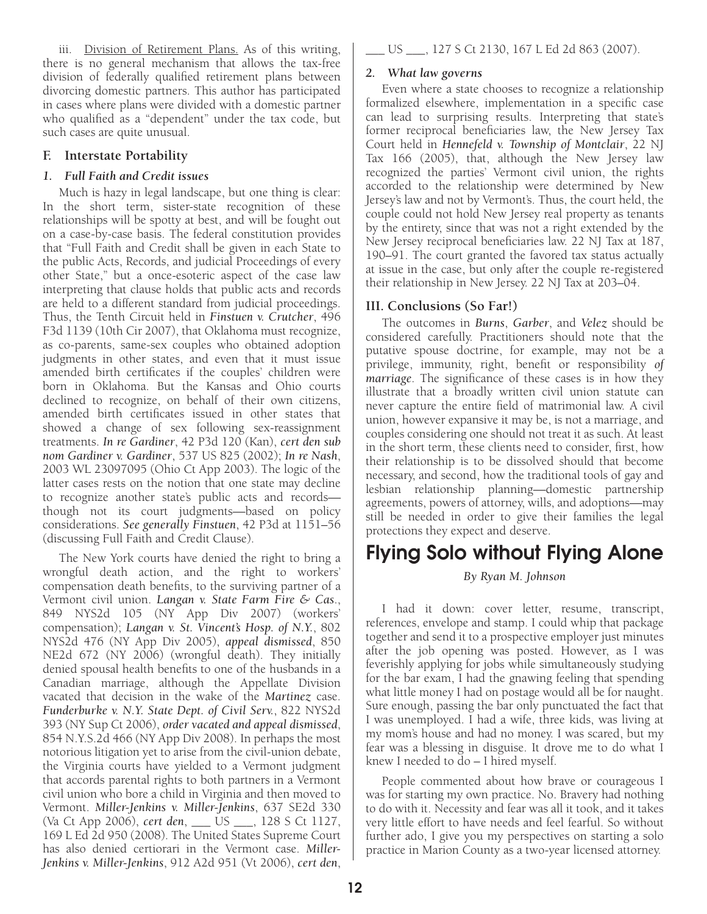iii. Division of Retirement Plans. As of this writing, there is no general mechanism that allows the tax-free division of federally qualified retirement plans between divorcing domestic partners. This author has participated in cases where plans were divided with a domestic partner who qualified as a "dependent" under the tax code, but such cases are quite unusual.

#### **F. Interstate Portability**

#### *1. Full Faith and Credit issues*

Much is hazy in legal landscape, but one thing is clear: In the short term, sister-state recognition of these relationships will be spotty at best, and will be fought out on a case-by-case basis. The federal constitution provides that "Full Faith and Credit shall be given in each State to the public Acts, Records, and judicial Proceedings of every other State," but a once-esoteric aspect of the case law interpreting that clause holds that public acts and records are held to a different standard from judicial proceedings. Thus, the Tenth Circuit held in *Finstuen v. Crutcher*, 496 F3d 1139 (10th Cir 2007), that Oklahoma must recognize, as co-parents, same-sex couples who obtained adoption judgments in other states, and even that it must issue amended birth certificates if the couples' children were born in Oklahoma. But the Kansas and Ohio courts declined to recognize, on behalf of their own citizens, amended birth certificates issued in other states that showed a change of sex following sex-reassignment treatments. *In re Gardiner*, 42 P3d 120 (Kan), *cert den sub nom Gardiner v. Gardiner*, 537 US 825 (2002); *In re Nash*, 2003 WL 23097095 (Ohio Ct App 2003). The logic of the latter cases rests on the notion that one state may decline to recognize another state's public acts and records though not its court judgments—based on policy considerations. *See generally Finstuen*, 42 P3d at 1151–56 (discussing Full Faith and Credit Clause).

The New York courts have denied the right to bring a wrongful death action, and the right to workers' compensation death benefits, to the surviving partner of a Vermont civil union. *Langan v. State Farm Fire & Cas*., 849 NYS2d 105 (NY App Div 2007) (workers' compensation); *Langan v. St. Vincent's Hosp. of N.Y.*, 802 NYS2d 476 (NY App Div 2005), *appeal dismissed*, 850 NE2d 672 (NY 2006) (wrongful death). They initially denied spousal health benefits to one of the husbands in a Canadian marriage, although the Appellate Division vacated that decision in the wake of the *Martinez* case. *Funderburke v. N.Y. State Dept. of Civil Serv.*, 822 NYS2d 393 (NY Sup Ct 2006), *order vacated and appeal dismissed*, 854 N.Y.S.2d 466 (NY App Div 2008). In perhaps the most notorious litigation yet to arise from the civil-union debate, the Virginia courts have yielded to a Vermont judgment that accords parental rights to both partners in a Vermont civil union who bore a child in Virginia and then moved to Vermont. *Miller-Jenkins v. Miller-Jenkins*, 637 SE2d 330 (Va Ct App 2006), *cert den*, \_\_\_ US \_\_\_, 128 S Ct 1127, 169 L Ed 2d 950 (2008). The United States Supreme Court has also denied certiorari in the Vermont case. *Miller-Jenkins v. Miller-Jenkins*, 912 A2d 951 (Vt 2006), *cert den*,

#### *2. What law governs*

Even where a state chooses to recognize a relationship formalized elsewhere, implementation in a specific case can lead to surprising results. Interpreting that state's former reciprocal beneficiaries law, the New Jersey Tax Court held in *Hennefeld v. Township of Montclair*, 22 NJ Tax 166 (2005), that, although the New Jersey law recognized the parties' Vermont civil union, the rights accorded to the relationship were determined by New Jersey's law and not by Vermont's. Thus, the court held, the couple could not hold New Jersey real property as tenants by the entirety, since that was not a right extended by the New Jersey reciprocal beneficiaries law. 22 NJ Tax at 187, 190–91. The court granted the favored tax status actually at issue in the case, but only after the couple re-registered their relationship in New Jersey. 22 NJ Tax at 203–04.

#### **III. Conclusions (So Far!)**

The outcomes in *Burns*, *Garber*, and *Velez* should be considered carefully. Practitioners should note that the putative spouse doctrine, for example, may not be a privilege, immunity, right, benefit or responsibility *of marriage*. The significance of these cases is in how they illustrate that a broadly written civil union statute can never capture the entire field of matrimonial law. A civil union, however expansive it may be, is not a marriage, and couples considering one should not treat it as such. At least in the short term, these clients need to consider, first, how their relationship is to be dissolved should that become necessary, and second, how the traditional tools of gay and lesbian relationship planning—domestic partnership agreements, powers of attorney, wills, and adoptions—may still be needed in order to give their families the legal protections they expect and deserve.

# Flying Solo without Flying Alone

#### *By Ryan M. Johnson*

I had it down: cover letter, resume, transcript, references, envelope and stamp. I could whip that package together and send it to a prospective employer just minutes after the job opening was posted. However, as I was feverishly applying for jobs while simultaneously studying for the bar exam, I had the gnawing feeling that spending what little money I had on postage would all be for naught. Sure enough, passing the bar only punctuated the fact that I was unemployed. I had a wife, three kids, was living at my mom's house and had no money. I was scared, but my fear was a blessing in disguise. It drove me to do what I knew I needed to do – I hired myself.

People commented about how brave or courageous I was for starting my own practice. No. Bravery had nothing to do with it. Necessity and fear was all it took, and it takes very little effort to have needs and feel fearful. So without further ado, I give you my perspectives on starting a solo practice in Marion County as a two-year licensed attorney.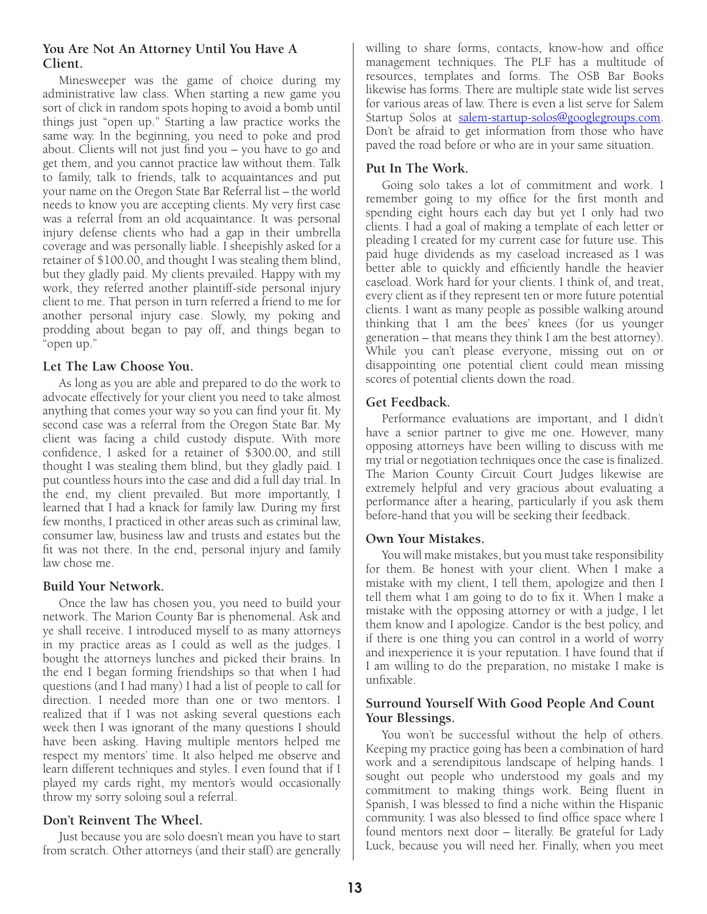#### **You Are Not An Attorney Until You Have A Client.**

Minesweeper was the game of choice during my administrative law class. When starting a new game you sort of click in random spots hoping to avoid a bomb until things just "open up." Starting a law practice works the same way. In the beginning, you need to poke and prod about. Clients will not just find you – you have to go and get them, and you cannot practice law without them. Talk to family, talk to friends, talk to acquaintances and put your name on the Oregon State Bar Referral list – the world needs to know you are accepting clients. My very first case was a referral from an old acquaintance. It was personal injury defense clients who had a gap in their umbrella coverage and was personally liable. I sheepishly asked for a retainer of \$100.00, and thought I was stealing them blind, but they gladly paid. My clients prevailed. Happy with my work, they referred another plaintiff-side personal injury client to me. That person in turn referred a friend to me for another personal injury case. Slowly, my poking and prodding about began to pay off, and things began to "open up."

#### **Let The Law Choose You.**

As long as you are able and prepared to do the work to advocate effectively for your client you need to take almost anything that comes your way so you can find your fit. My second case was a referral from the Oregon State Bar. My client was facing a child custody dispute. With more confidence, I asked for a retainer of \$300.00, and still thought I was stealing them blind, but they gladly paid. I put countless hours into the case and did a full day trial. In the end, my client prevailed. But more importantly, I learned that I had a knack for family law. During my first few months, I practiced in other areas such as criminal law, consumer law, business law and trusts and estates but the fit was not there. In the end, personal injury and family law chose me.

#### **Build Your Network.**

Once the law has chosen you, you need to build your network. The Marion County Bar is phenomenal. Ask and ye shall receive. I introduced myself to as many attorneys in my practice areas as I could as well as the judges. I bought the attorneys lunches and picked their brains. In the end I began forming friendships so that when I had questions (and I had many) I had a list of people to call for direction. I needed more than one or two mentors. I realized that if I was not asking several questions each week then I was ignorant of the many questions I should have been asking. Having multiple mentors helped me respect my mentors' time. It also helped me observe and learn different techniques and styles. I even found that if I played my cards right, my mentor's would occasionally throw my sorry soloing soul a referral.

#### **Don't Reinvent The Wheel.**

Just because you are solo doesn't mean you have to start from scratch. Other attorneys (and their staff) are generally willing to share forms, contacts, know-how and office management techniques. The PLF has a multitude of resources, templates and forms. The OSB Bar Books likewise has forms. There are multiple state wide list serves for various areas of law. There is even a list serve for Salem Startup Solos at [salem-startup-solos@googlegroups.com](mailto:salem-startup-solos@googlegroups.com). Don't be afraid to get information from those who have paved the road before or who are in your same situation.

#### **Put In The Work.**

Going solo takes a lot of commitment and work. I remember going to my office for the first month and spending eight hours each day but yet I only had two clients. I had a goal of making a template of each letter or pleading I created for my current case for future use. This paid huge dividends as my caseload increased as I was better able to quickly and efficiently handle the heavier caseload. Work hard for your clients. I think of, and treat, every client as if they represent ten or more future potential clients. I want as many people as possible walking around thinking that I am the bees' knees (for us younger generation – that means they think I am the best attorney). While you can't please everyone, missing out on or disappointing one potential client could mean missing scores of potential clients down the road.

#### **Get Feedback.**

Performance evaluations are important, and I didn't have a senior partner to give me one. However, many opposing attorneys have been willing to discuss with me my trial or negotiation techniques once the case is finalized. The Marion County Circuit Court Judges likewise are extremely helpful and very gracious about evaluating a performance after a hearing, particularly if you ask them before-hand that you will be seeking their feedback.

#### **Own Your Mistakes.**

You will make mistakes, but you must take responsibility for them. Be honest with your client. When I make a mistake with my client, I tell them, apologize and then I tell them what I am going to do to fix it. When I make a mistake with the opposing attorney or with a judge, I let them know and I apologize. Candor is the best policy, and if there is one thing you can control in a world of worry and inexperience it is your reputation. I have found that if I am willing to do the preparation, no mistake I make is unfixable.

#### **Surround Yourself With Good People And Count Your Blessings.**

You won't be successful without the help of others. Keeping my practice going has been a combination of hard work and a serendipitous landscape of helping hands. I sought out people who understood my goals and my commitment to making things work. Being fluent in Spanish, I was blessed to find a niche within the Hispanic community. I was also blessed to find office space where I found mentors next door – literally. Be grateful for Lady Luck, because you will need her. Finally, when you meet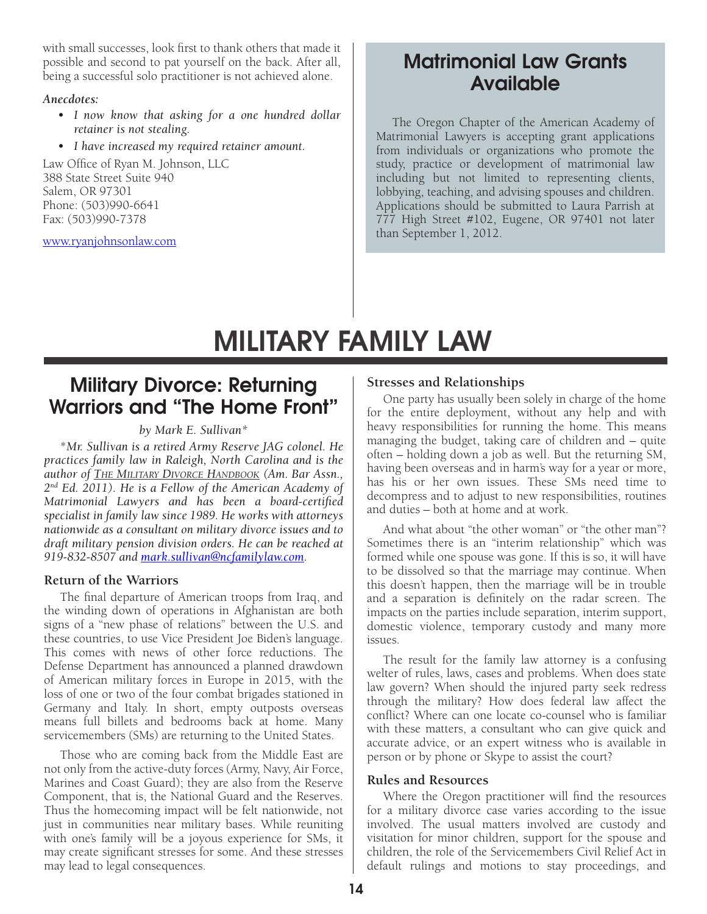with small successes, look first to thank others that made it possible and second to pat yourself on the back. After all, being a successful solo practitioner is not achieved alone.

#### *Anecdotes:*

- *• I now know that asking for a one hundred dollar retainer is not stealing.*
- *• I have increased my required retainer amount.*

Law Office of Ryan M. Johnson, LLC 388 State Street Suite 940 Salem, OR 97301 Phone: (503)990-6641 Fax: (503)990-7378

[www.ryanjohnsonlaw.com](http://www.ryanjohnsonlaw.com)

# Matrimonial Law Grants Available

The Oregon Chapter of the American Academy of Matrimonial Lawyers is accepting grant applications from individuals or organizations who promote the study, practice or development of matrimonial law including but not limited to representing clients, lobbying, teaching, and advising spouses and children. Applications should be submitted to Laura Parrish at 777 High Street #102, Eugene, OR 97401 not later than September 1, 2012.

# MILITARY FAMILY LAW

# Military Divorce: Returning Warriors and "The Home Front"

#### *by Mark E. Sullivan\**

\**Mr. Sullivan is a retired Army Reserve JAG colonel. He practices family law in Raleigh, North Carolina and is the author of The Military Divorce Handbook (Am. Bar Assn., 2nd Ed. 2011). He is a Fellow of the American Academy of Matrimonial Lawyers and has been a board-certified specialist in family law since 1989. He works with attorneys nationwide as a consultant on military divorce issues and to draft military pension division orders. He can be reached at 919-832-8507 and [mark.sullivan@ncfamilylaw.com](mailto:mark.sullivan@ncfamilylaw.com).* 

#### **Return of the Warriors**

The final departure of American troops from Iraq, and the winding down of operations in Afghanistan are both signs of a "new phase of relations" between the U.S. and these countries, to use Vice President Joe Biden's language. This comes with news of other force reductions. The Defense Department has announced a planned drawdown of American military forces in Europe in 2015, with the loss of one or two of the four combat brigades stationed in Germany and Italy. In short, empty outposts overseas means full billets and bedrooms back at home. Many servicemembers (SMs) are returning to the United States.

Those who are coming back from the Middle East are not only from the active-duty forces (Army, Navy, Air Force, Marines and Coast Guard); they are also from the Reserve Component, that is, the National Guard and the Reserves. Thus the homecoming impact will be felt nationwide, not just in communities near military bases. While reuniting with one's family will be a joyous experience for SMs, it may create significant stresses for some. And these stresses may lead to legal consequences.

#### **Stresses and Relationships**

One party has usually been solely in charge of the home for the entire deployment, without any help and with heavy responsibilities for running the home. This means managing the budget, taking care of children and – quite often – holding down a job as well. But the returning SM, having been overseas and in harm's way for a year or more, has his or her own issues. These SMs need time to decompress and to adjust to new responsibilities, routines and duties – both at home and at work.

And what about "the other woman" or "the other man"? Sometimes there is an "interim relationship" which was formed while one spouse was gone. If this is so, it will have to be dissolved so that the marriage may continue. When this doesn't happen, then the marriage will be in trouble and a separation is definitely on the radar screen. The impacts on the parties include separation, interim support, domestic violence, temporary custody and many more issues.

The result for the family law attorney is a confusing welter of rules, laws, cases and problems. When does state law govern? When should the injured party seek redress through the military? How does federal law affect the conflict? Where can one locate co-counsel who is familiar with these matters, a consultant who can give quick and accurate advice, or an expert witness who is available in person or by phone or Skype to assist the court?

#### **Rules and Resources**

Where the Oregon practitioner will find the resources for a military divorce case varies according to the issue involved. The usual matters involved are custody and visitation for minor children, support for the spouse and children, the role of the Servicemembers Civil Relief Act in default rulings and motions to stay proceedings, and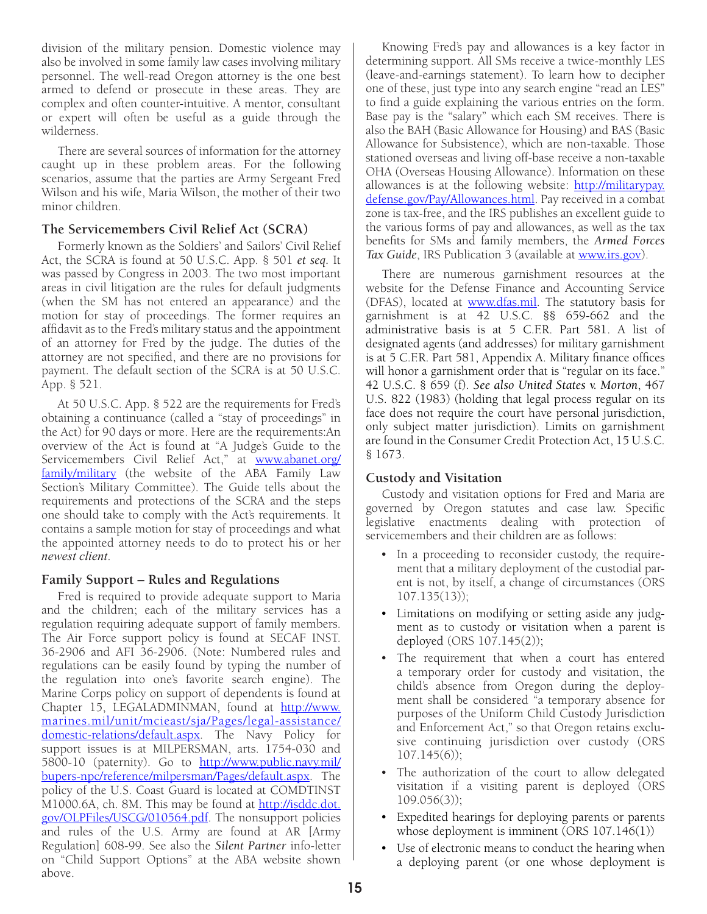division of the military pension. Domestic violence may also be involved in some family law cases involving military personnel. The well-read Oregon attorney is the one best armed to defend or prosecute in these areas. They are complex and often counter-intuitive. A mentor, consultant or expert will often be useful as a guide through the wilderness.

There are several sources of information for the attorney caught up in these problem areas. For the following scenarios, assume that the parties are Army Sergeant Fred Wilson and his wife, Maria Wilson, the mother of their two minor children.

#### **The Servicemembers Civil Relief Act (SCRA)**

Formerly known as the Soldiers' and Sailors' Civil Relief Act, the SCRA is found at 50 U.S.C. App. § 501 *et seq.* It was passed by Congress in 2003. The two most important areas in civil litigation are the rules for default judgments (when the SM has not entered an appearance) and the motion for stay of proceedings. The former requires an affidavit as to the Fred's military status and the appointment of an attorney for Fred by the judge. The duties of the attorney are not specified, and there are no provisions for payment. The default section of the SCRA is at 50 U.S.C. App. § 521.

At 50 U.S.C. App. § 522 are the requirements for Fred's obtaining a continuance (called a "stay of proceedings" in the Act) for 90 days or more. Here are the requirements:An overview of the Act is found at "A Judge's Guide to the Servicemembers Civil Relief Act," at www.abanet.org/ family/military (the website of the ABA Family Law Section's Military Committee). The Guide tells about the requirements and protections of the SCRA and the steps one should take to comply with the Act's requirements. It contains a sample motion for stay of proceedings and what the appointed attorney needs to do to protect his or her *newest client*.

#### **Family Support – Rules and Regulations**

Fred is required to provide adequate support to Maria and the children; each of the military services has a regulation requiring adequate support of family members. The Air Force support policy is found at SECAF INST. 36-2906 and AFI 36-2906. (Note: Numbered rules and regulations can be easily found by typing the number of the regulation into one's favorite search engine). The Marine Corps policy on support of dependents is found at Chapter 15, LEGALADMINMAN, found at [http://www.](http://www.marines.mil/unit/mcieast/sja/Pages/legal-assistance/domestic-relations/default.aspx) [marines.mil/unit/mcieast/sja/Pages/legal-assistance/](http://www.marines.mil/unit/mcieast/sja/Pages/legal-assistance/domestic-relations/default.aspx) [domestic-relations/default.aspx](http://www.marines.mil/unit/mcieast/sja/Pages/legal-assistance/domestic-relations/default.aspx). The Navy Policy for support issues is at MILPERSMAN, arts. 1754-030 and 5800-10 (paternity). Go to [http://www.public.navy.mil/](http://www.public.navy.mil/bupers-npc/reference/milpersman/Pages/default.aspx) [bupers-npc/reference/milpersman/Pages/default.aspx](http://www.public.navy.mil/bupers-npc/reference/milpersman/Pages/default.aspx). The policy of the U.S. Coast Guard is located at COMDTINST M1000.6A, ch. 8M. This may be found at **[http://isddc.dot.](http://isddc.dot.gov/OLPFiles/USCG/010564.pdf)** [gov/OLPFiles/USCG/010564.pdf](http://isddc.dot.gov/OLPFiles/USCG/010564.pdf). The nonsupport policies and rules of the U.S. Army are found at AR [Army Regulation] 608-99. See also the *Silent Partner* info-letter on "Child Support Options" at the ABA website shown above.

Knowing Fred's pay and allowances is a key factor in determining support. All SMs receive a twice-monthly LES (leave-and-earnings statement). To learn how to decipher one of these, just type into any search engine "read an LES" to find a guide explaining the various entries on the form. Base pay is the "salary" which each SM receives. There is also the BAH (Basic Allowance for Housing) and BAS (Basic Allowance for Subsistence), which are non-taxable. Those stationed overseas and living off-base receive a non-taxable OHA (Overseas Housing Allowance). Information on these allowances is at the following website: [http://militarypay.](http://militarypay.defense.gov/Pay/Allowances.html) [defense.gov/Pay/Allowances.html](http://militarypay.defense.gov/Pay/Allowances.html). Pay received in a combat zone is tax-free, and the IRS publishes an excellent guide to the various forms of pay and allowances, as well as the tax benefits for SMs and family members, the *Armed Forces Tax Guide*, IRS Publication 3 (available at [www.irs.gov](http://www.irs.gov)).

There are numerous garnishment resources at the website for the Defense Finance and Accounting Service (DFAS), located at [www.dfas.mil](http://www.dfas.mil). The statutory basis for garnishment is at 42 U.S.C. §§ 659-662 and the administrative basis is at 5 C.F.R. Part 581. A list of designated agents (and addresses) for military garnishment is at 5 C.F.R. Part 581, Appendix A. Military finance offices will honor a garnishment order that is "regular on its face." 42 U.S.C. § 659 (f). *See also United States v. Morton*, 467 U.S. 822 (1983) (holding that legal process regular on its face does not require the court have personal jurisdiction, only subject matter jurisdiction). Limits on garnishment are found in the Consumer Credit Protection Act, 15 U.S.C. § 1673.

#### **Custody and Visitation**

Custody and visitation options for Fred and Maria are governed by Oregon statutes and case law. Specific legislative enactments dealing with protection of servicemembers and their children are as follows:

- In a proceeding to reconsider custody, the requirement that a military deployment of the custodial parent is not, by itself, a change of circumstances (ORS 107.135(13));
- Limitations on modifying or setting aside any judgment as to custody or visitation when a parent is deployed (ORS 107.145(2));
- The requirement that when a court has entered a temporary order for custody and visitation, the child's absence from Oregon during the deployment shall be considered "a temporary absence for purposes of the Uniform Child Custody Jurisdiction and Enforcement Act," so that Oregon retains exclusive continuing jurisdiction over custody (ORS 107.145(6));
- The authorization of the court to allow delegated visitation if a visiting parent is deployed (ORS  $109.056(3)$ ;
- • Expedited hearings for deploying parents or parents whose deployment is imminent (ORS 107.146(1))
- Use of electronic means to conduct the hearing when a deploying parent (or one whose deployment is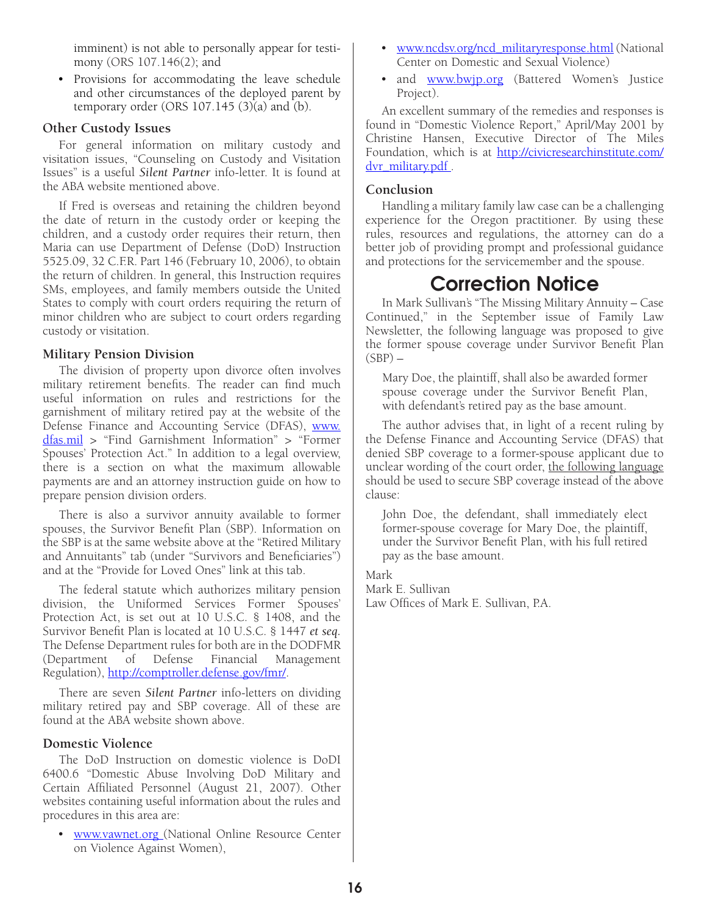imminent) is not able to personally appear for testimony (ORS 107.146(2); and

• Provisions for accommodating the leave schedule and other circumstances of the deployed parent by temporary order (ORS 107.145 (3)(a) and (b).

#### **Other Custody Issues**

For general information on military custody and visitation issues, "Counseling on Custody and Visitation Issues" is a useful *Silent Partner* info-letter. It is found at the ABA website mentioned above.

If Fred is overseas and retaining the children beyond the date of return in the custody order or keeping the children, and a custody order requires their return, then Maria can use Department of Defense (DoD) Instruction 5525.09, 32 C.F.R. Part 146 (February 10, 2006), to obtain the return of children. In general, this Instruction requires SMs, employees, and family members outside the United States to comply with court orders requiring the return of minor children who are subject to court orders regarding custody or visitation.

#### **Military Pension Division**

The division of property upon divorce often involves military retirement benefits. The reader can find much useful information on rules and restrictions for the garnishment of military retired pay at the website of the Defense Finance and Accounting Service (DFAS), [www.](http://www.dfas.mil) [dfas.mil](http://www.dfas.mil) > "Find Garnishment Information" > "Former Spouses' Protection Act." In addition to a legal overview, there is a section on what the maximum allowable payments are and an attorney instruction guide on how to prepare pension division orders.

There is also a survivor annuity available to former spouses, the Survivor Benefit Plan (SBP). Information on the SBP is at the same website above at the "Retired Military and Annuitants" tab (under "Survivors and Beneficiaries") and at the "Provide for Loved Ones" link at this tab.

The federal statute which authorizes military pension division, the Uniformed Services Former Spouses' Protection Act, is set out at 10 U.S.C. § 1408, and the Survivor Benefit Plan is located at 10 U.S.C. § 1447 *et seq.* The Defense Department rules for both are in the DODFMR (Department of Defense Financial Management Regulation), [http://comptroller.defense.gov/fmr/.](http://comptroller.defense.gov/fmr/)

There are seven *Silent Partner* info-letters on dividing military retired pay and SBP coverage. All of these are found at the ABA website shown above.

#### **Domestic Violence**

The DoD Instruction on domestic violence is DoDI 6400.6 "Domestic Abuse Involving DoD Military and Certain Affiliated Personnel (August 21, 2007). Other websites containing useful information about the rules and procedures in this area are:

[www.vawnet.org](http://www.vawnet.org) (National Online Resource Center on Violence Against Women),

- [www.ncdsv.org/ncd\\_militaryresponse.html](http://www.ncdsv.org/ncd_militaryresponse.html) (National Center on Domestic and Sexual Violence)
- and **[www.bwjp.org](http://www.bwjp.org)** (Battered Women's Justice Project).

An excellent summary of the remedies and responses is found in "Domestic Violence Report," April/May 2001 by Christine Hansen, Executive Director of The Miles Foundation, which is at [http://civicresearchinstitute.com/](http://civicresearchinstitute.com/dvr_military.pdf) dvr\_military.pdf.

#### **Conclusion**

Handling a military family law case can be a challenging experience for the Oregon practitioner. By using these rules, resources and regulations, the attorney can do a better job of providing prompt and professional guidance and protections for the servicemember and the spouse.

# Correction Notice

In Mark Sullivan's "The Missing Military Annuity – Case Continued," in the September issue of Family Law Newsletter, the following language was proposed to give the former spouse coverage under Survivor Benefit Plan  $(SBP)$  –

Mary Doe, the plaintiff, shall also be awarded former spouse coverage under the Survivor Benefit Plan, with defendant's retired pay as the base amount.

The author advises that, in light of a recent ruling by the Defense Finance and Accounting Service (DFAS) that denied SBP coverage to a former-spouse applicant due to unclear wording of the court order, the following language should be used to secure SBP coverage instead of the above clause:

John Doe, the defendant, shall immediately elect former-spouse coverage for Mary Doe, the plaintiff, under the Survivor Benefit Plan, with his full retired pay as the base amount.

#### Mark

Mark E. Sullivan Law Offices of Mark E. Sullivan, P.A.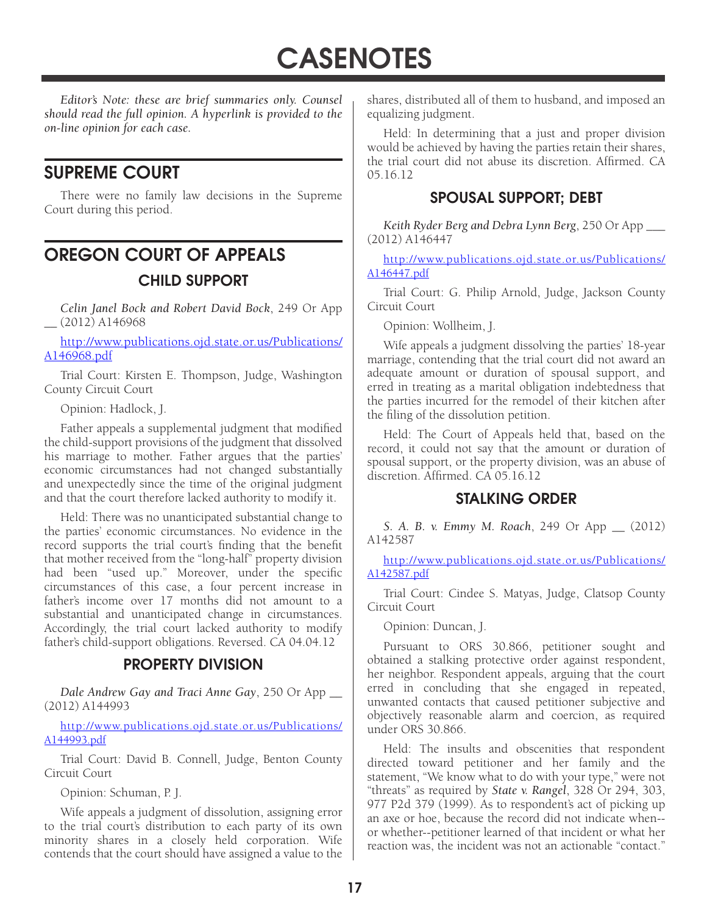**CASENOTES** 

*Editor's Note: these are brief summaries only. Counsel should read the full opinion. A hyperlink is provided to the on-line opinion for each case.* 

## SUPREME COURT

There were no family law decisions in the Supreme Court during this period.

# OREGON COURT OF APPEALS CHILD SUPPORT

*Celin Janel Bock and Robert David Bock*, 249 Or App \_\_ (2012) A146968

[http://www.publications.ojd.state.or.us/Publications/](http://www.publications.ojd.state.or.us/Publications/A146968.pdf) [A146968.pdf](http://www.publications.ojd.state.or.us/Publications/A146968.pdf)

Trial Court: Kirsten E. Thompson, Judge, Washington County Circuit Court

Opinion: Hadlock, J.

Father appeals a supplemental judgment that modified the child-support provisions of the judgment that dissolved his marriage to mother. Father argues that the parties' economic circumstances had not changed substantially and unexpectedly since the time of the original judgment and that the court therefore lacked authority to modify it.

Held: There was no unanticipated substantial change to the parties' economic circumstances. No evidence in the record supports the trial court's finding that the benefit that mother received from the "long-half" property division had been "used up." Moreover, under the specific circumstances of this case, a four percent increase in father's income over 17 months did not amount to a substantial and unanticipated change in circumstances. Accordingly, the trial court lacked authority to modify father's child-support obligations. Reversed. CA 04.04.12

#### PROPERTY DIVISION

*Dale Andrew Gay and Traci Anne Gay*, 250 Or App \_\_ (2012) A144993

[http://www.publications.ojd.state.or.us/Publications/](http://www.publications.ojd.state.or.us/Publications/A144993.pdf) [A144993.pdf](http://www.publications.ojd.state.or.us/Publications/A144993.pdf)

Trial Court: David B. Connell, Judge, Benton County Circuit Court

Opinion: Schuman, P. J.

Wife appeals a judgment of dissolution, assigning error to the trial court's distribution to each party of its own minority shares in a closely held corporation. Wife contends that the court should have assigned a value to the shares, distributed all of them to husband, and imposed an equalizing judgment.

Held: In determining that a just and proper division would be achieved by having the parties retain their shares, the trial court did not abuse its discretion. Affirmed. CA 05.16.12

#### SPOUSAL SUPPORT; DEBT

*Keith Ryder Berg and Debra Lynn Berg*, 250 Or App \_\_\_ (2012) A146447

[http://www.publications.ojd.state.or.us/Publications/](http://www.publications.ojd.state.or.us/Publications/A146447.pdf) [A146447.pdf](http://www.publications.ojd.state.or.us/Publications/A146447.pdf)

Trial Court: G. Philip Arnold, Judge, Jackson County Circuit Court

Opinion: Wollheim, J.

Wife appeals a judgment dissolving the parties' 18-year marriage, contending that the trial court did not award an adequate amount or duration of spousal support, and erred in treating as a marital obligation indebtedness that the parties incurred for the remodel of their kitchen after the filing of the dissolution petition.

Held: The Court of Appeals held that, based on the record, it could not say that the amount or duration of spousal support, or the property division, was an abuse of discretion. Affirmed. CA 05.16.12

#### STALKING ORDER

*S. A. B. v. Emmy M. Roach*, 249 Or App \_\_ (2012) A142587

[http://www.publications.ojd.state.or.us/Publications/](http://www.publications.ojd.state.or.us/Publications/A142587.pdf) [A142587.pdf](http://www.publications.ojd.state.or.us/Publications/A142587.pdf)

Trial Court: Cindee S. Matyas, Judge, Clatsop County Circuit Court

Opinion: Duncan, J.

Pursuant to ORS 30.866, petitioner sought and obtained a stalking protective order against respondent, her neighbor. Respondent appeals, arguing that the court erred in concluding that she engaged in repeated, unwanted contacts that caused petitioner subjective and objectively reasonable alarm and coercion, as required under ORS 30.866.

Held: The insults and obscenities that respondent directed toward petitioner and her family and the statement, "We know what to do with your type," were not "threats" as required by *State v. Rangel*, 328 Or 294, 303, 977 P2d 379 (1999). As to respondent's act of picking up an axe or hoe, because the record did not indicate when- or whether--petitioner learned of that incident or what her reaction was, the incident was not an actionable "contact."